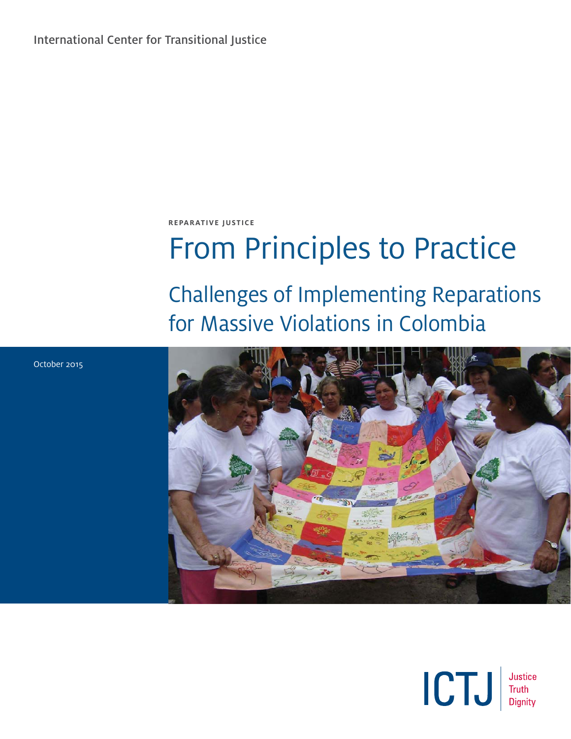International Center for Transitional Justice

**REPARATIVE JUSTICE**

# From Principles to Practice

# Challenges of Implementing Reparations for Massive Violations in Colombia





October 2015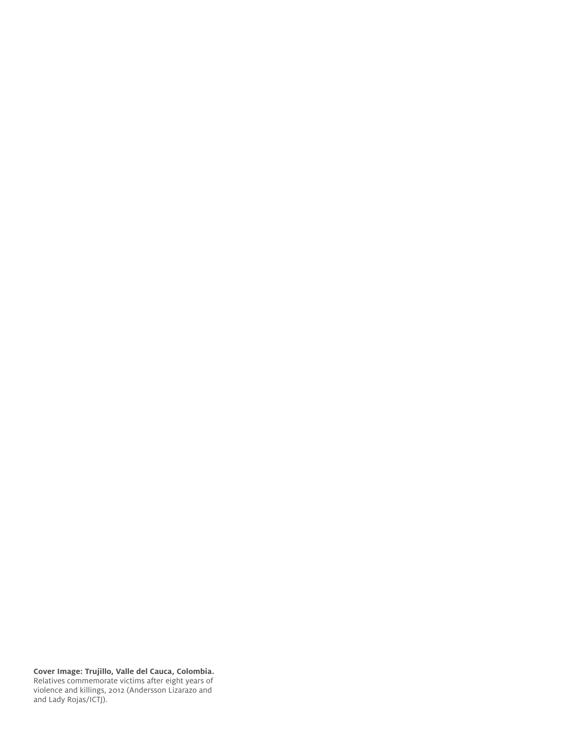**Cover Image: Trujillo, Valle del Cauca, Colombia.**  Relatives commemorate victims after eight years of violence and killings, 2012 (Andersson Lizarazo and and Lady Rojas/ICTJ).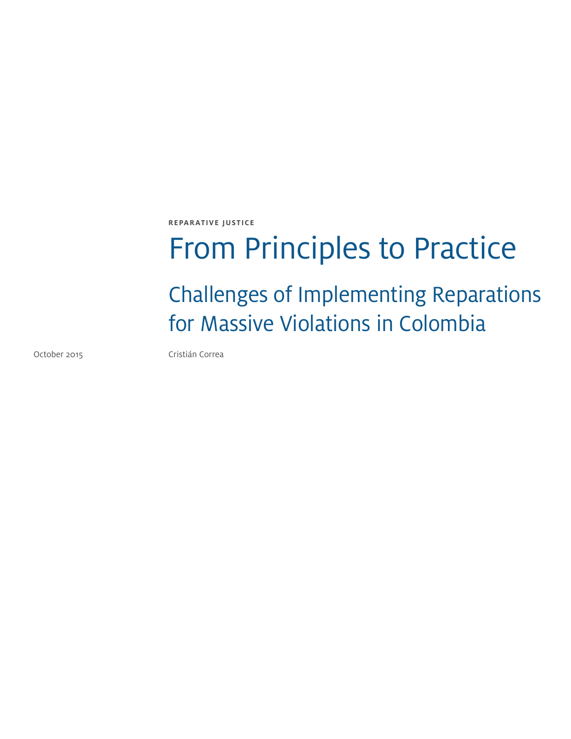**REPARATIVE JUSTICE**

# From Principles to Practice

Challenges of Implementing Reparations for Massive Violations in Colombia

October 2015 **Cristián Correa**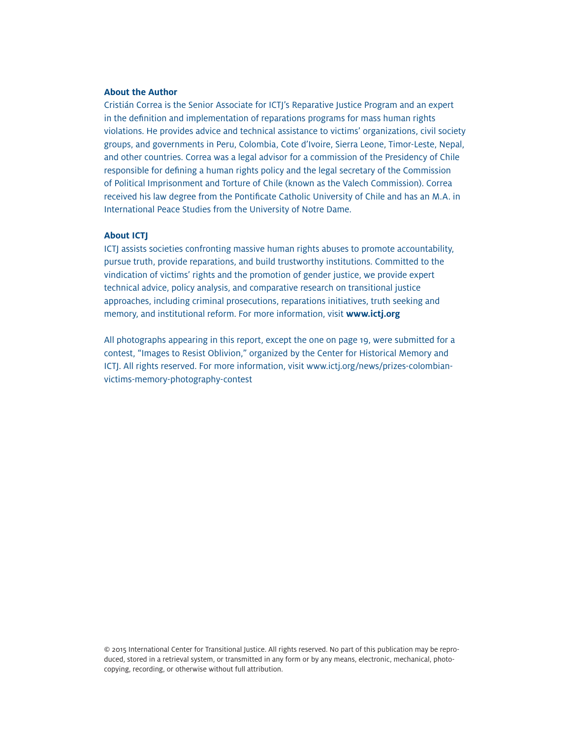#### **About the Author**

Cristián Correa is the Senior Associate for ICTJ's Reparative Justice Program and an expert in the definition and implementation of reparations programs for mass human rights violations. He provides advice and technical assistance to victims' organizations, civil society groups, and governments in Peru, Colombia, Cote d'Ivoire, Sierra Leone, Timor-Leste, Nepal, and other countries. Correa was a legal advisor for a commission of the Presidency of Chile responsible for defining a human rights policy and the legal secretary of the Commission of Political Imprisonment and Torture of Chile (known as the Valech Commission). Correa received his law degree from the Pontificate Catholic University of Chile and has an M.A. in International Peace Studies from the University of Notre Dame.

#### **About ICTJ**

ICTJ assists societies confronting massive human rights abuses to promote accountability, pursue truth, provide reparations, and build trustworthy institutions. Committed to the vindication of victims' rights and the promotion of gender justice, we provide expert technical advice, policy analysis, and comparative research on transitional justice approaches, including criminal prosecutions, reparations initiatives, truth seeking and memory, and institutional reform. For more information, visit **www.ictj.org**

All photographs appearing in this report, except the one on page 19, were submitted for a contest, "Images to Resist Oblivion," organized by the Center for Historical Memory and ICTJ. All rights reserved. For more information, visit www.ictj.org/news/prizes-colombianvictims-memory-photography-contest

© 2015 International Center for Transitional Justice. All rights reserved. No part of this publication may be reproduced, stored in a retrieval system, or transmitted in any form or by any means, electronic, mechanical, photocopying, recording, or otherwise without full attribution.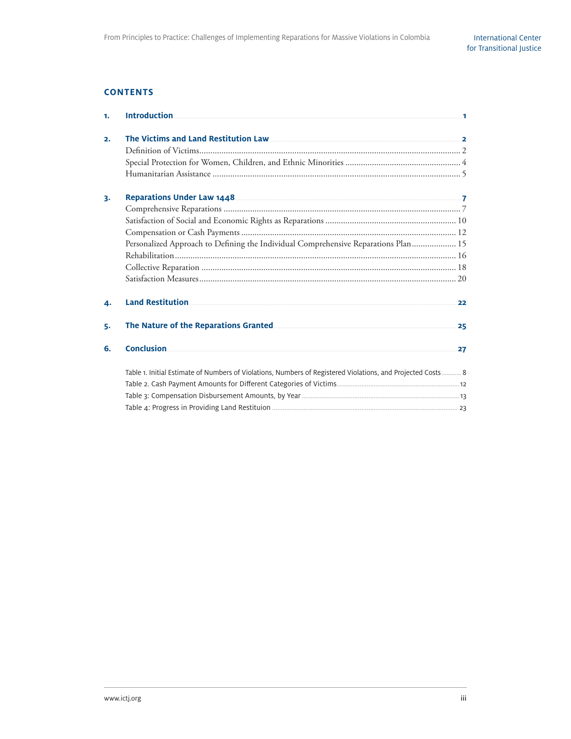#### **CONTENTS**

| 1. | <b>Introduction</b>                                                                                                                                                                                                           | 1  |
|----|-------------------------------------------------------------------------------------------------------------------------------------------------------------------------------------------------------------------------------|----|
| 2. | The Victims and Land Restitution Law 22 and 22 and 23 and 24 and 25 and 26 and 26 and 26 and 26 and 26 and 27 and 27 and 27 and 27 and 27 and 27 and 27 and 27 and 27 and 27 and 27 and 27 and 27 and 27 and 27 and 27 and 27 |    |
|    |                                                                                                                                                                                                                               |    |
|    |                                                                                                                                                                                                                               |    |
|    |                                                                                                                                                                                                                               |    |
| 3. | Reparations Under Law 1448 2014 12:00 12:00 12:00 12:00 12:00 12:00 12:00 12:00 12:00 12:00 12:00 12:00 12:00 1                                                                                                               |    |
|    |                                                                                                                                                                                                                               |    |
|    |                                                                                                                                                                                                                               |    |
|    |                                                                                                                                                                                                                               |    |
|    | Personalized Approach to Defining the Individual Comprehensive Reparations Plan 15                                                                                                                                            |    |
|    |                                                                                                                                                                                                                               |    |
|    |                                                                                                                                                                                                                               |    |
|    |                                                                                                                                                                                                                               |    |
| 4. | <b>Land Restitution</b>                                                                                                                                                                                                       | 22 |
| 5. |                                                                                                                                                                                                                               | 25 |
| 6. | <b>Conclusion</b>                                                                                                                                                                                                             | 27 |
|    | Table 1. Initial Estimate of Numbers of Violations, Numbers of Registered Violations, and Projected Costs 8                                                                                                                   |    |
|    |                                                                                                                                                                                                                               |    |
|    |                                                                                                                                                                                                                               |    |
|    |                                                                                                                                                                                                                               |    |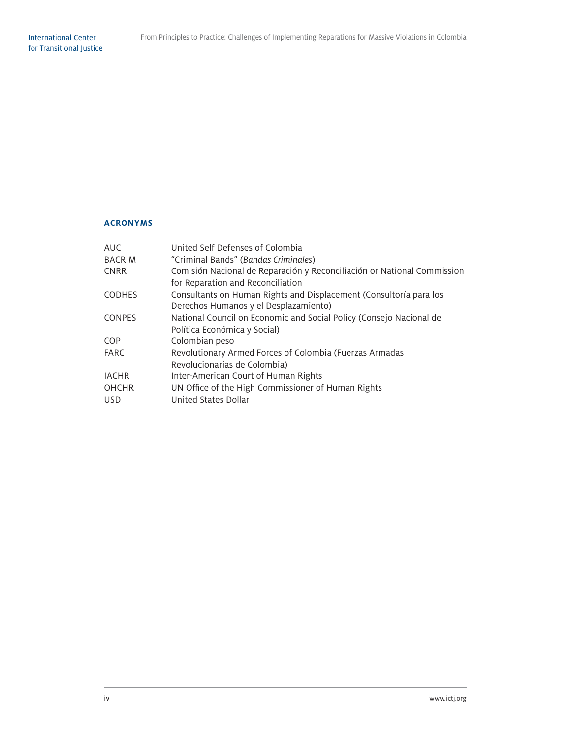#### **ACRONYMS**

| AUC.          | United Self Defenses of Colombia                                        |
|---------------|-------------------------------------------------------------------------|
| <b>BACRIM</b> | "Criminal Bands" (Bandas Criminales)                                    |
| <b>CNRR</b>   | Comisión Nacional de Reparación y Reconciliación or National Commission |
|               | for Reparation and Reconciliation                                       |
| <b>CODHES</b> | Consultants on Human Rights and Displacement (Consultoría para los      |
|               | Derechos Humanos y el Desplazamiento)                                   |
| <b>CONPES</b> | National Council on Economic and Social Policy (Consejo Nacional de     |
|               | Política Económica y Social)                                            |
| COP           | Colombian peso                                                          |
| <b>FARC</b>   | Revolutionary Armed Forces of Colombia (Fuerzas Armadas                 |
|               | Revolucionarias de Colombia)                                            |
| <b>IACHR</b>  | Inter-American Court of Human Rights                                    |
| <b>OHCHR</b>  | UN Office of the High Commissioner of Human Rights                      |
| <b>USD</b>    | United States Dollar                                                    |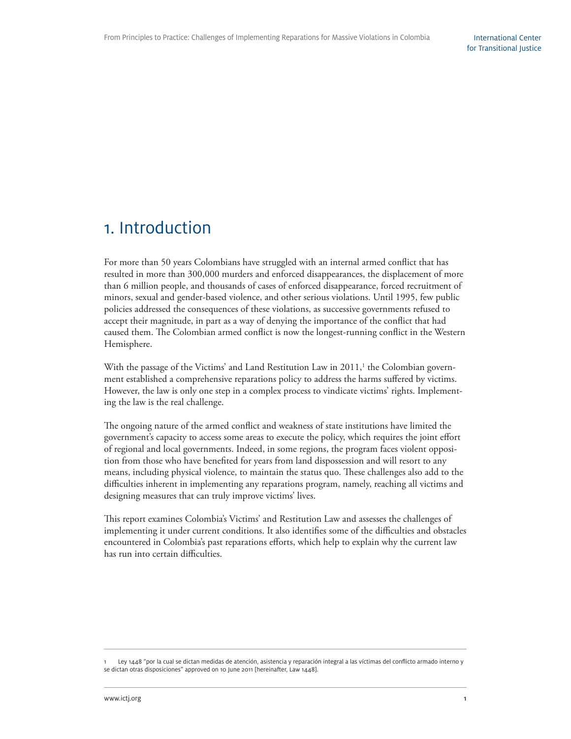## 1. Introduction

For more than 50 years Colombians have struggled with an internal armed conflict that has resulted in more than 300,000 murders and enforced disappearances, the displacement of more than 6 million people, and thousands of cases of enforced disappearance, forced recruitment of minors, sexual and gender-based violence, and other serious violations. Until 1995, few public policies addressed the consequences of these violations, as successive governments refused to accept their magnitude, in part as a way of denying the importance of the conflict that had caused them. The Colombian armed conflict is now the longest-running conflict in the Western Hemisphere.

With the passage of the Victims' and Land Restitution Law in 2011,<sup>1</sup> the Colombian government established a comprehensive reparations policy to address the harms suffered by victims. However, the law is only one step in a complex process to vindicate victims' rights. Implementing the law is the real challenge.

The ongoing nature of the armed conflict and weakness of state institutions have limited the government's capacity to access some areas to execute the policy, which requires the joint effort of regional and local governments. Indeed, in some regions, the program faces violent opposition from those who have benefited for years from land dispossession and will resort to any means, including physical violence, to maintain the status quo. These challenges also add to the difficulties inherent in implementing any reparations program, namely, reaching all victims and designing measures that can truly improve victims' lives.

This report examines Colombia's Victims' and Restitution Law and assesses the challenges of implementing it under current conditions. It also identifies some of the difficulties and obstacles encountered in Colombia's past reparations efforts, which help to explain why the current law has run into certain difficulties.

Ley 1448 "por la cual se dictan medidas de atención, asistencia y reparación integral a las víctimas del conflicto armado interno y se dictan otras disposiciones" approved on 10 June 2011 [hereinafter, Law 1448].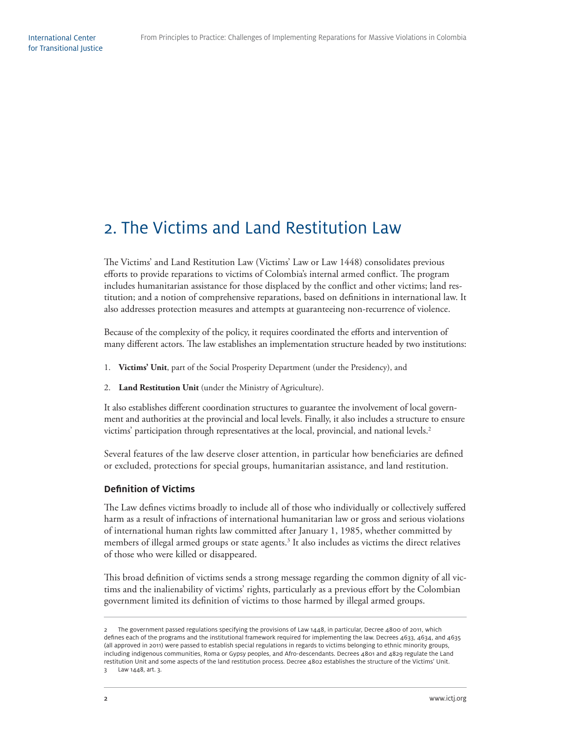# 2. The Victims and Land Restitution Law

The Victims' and Land Restitution Law (Victims' Law or Law 1448) consolidates previous efforts to provide reparations to victims of Colombia's internal armed conflict. The program includes humanitarian assistance for those displaced by the conflict and other victims; land restitution; and a notion of comprehensive reparations, based on definitions in international law. It also addresses protection measures and attempts at guaranteeing non-recurrence of violence.

Because of the complexity of the policy, it requires coordinated the efforts and intervention of many different actors. The law establishes an implementation structure headed by two institutions:

- 1. **Victims' Unit**, part of the Social Prosperity Department (under the Presidency), and
- 2. **Land Restitution Unit** (under the Ministry of Agriculture).

It also establishes different coordination structures to guarantee the involvement of local government and authorities at the provincial and local levels. Finally, it also includes a structure to ensure victims' participation through representatives at the local, provincial, and national levels.2

Several features of the law deserve closer attention, in particular how beneficiaries are defined or excluded, protections for special groups, humanitarian assistance, and land restitution.

#### **Definition of Victims**

The Law defines victims broadly to include all of those who individually or collectively suffered harm as a result of infractions of international humanitarian law or gross and serious violations of international human rights law committed after January 1, 1985, whether committed by members of illegal armed groups or state agents.<sup>3</sup> It also includes as victims the direct relatives of those who were killed or disappeared.

This broad definition of victims sends a strong message regarding the common dignity of all victims and the inalienability of victims' rights, particularly as a previous effort by the Colombian government limited its definition of victims to those harmed by illegal armed groups.

The government passed regulations specifying the provisions of Law 1448, in particular, Decree 4800 of 2011, which defines each of the programs and the institutional framework required for implementing the law. Decrees 4633, 4634, and 4635 (all approved in 2011) were passed to establish special regulations in regards to victims belonging to ethnic minority groups, including indigenous communities, Roma or Gypsy peoples, and Afro-descendants. Decrees 4801 and 4829 regulate the Land restitution Unit and some aspects of the land restitution process. Decree 4802 establishes the structure of the Victims' Unit. 3 Law 1448, art. 3.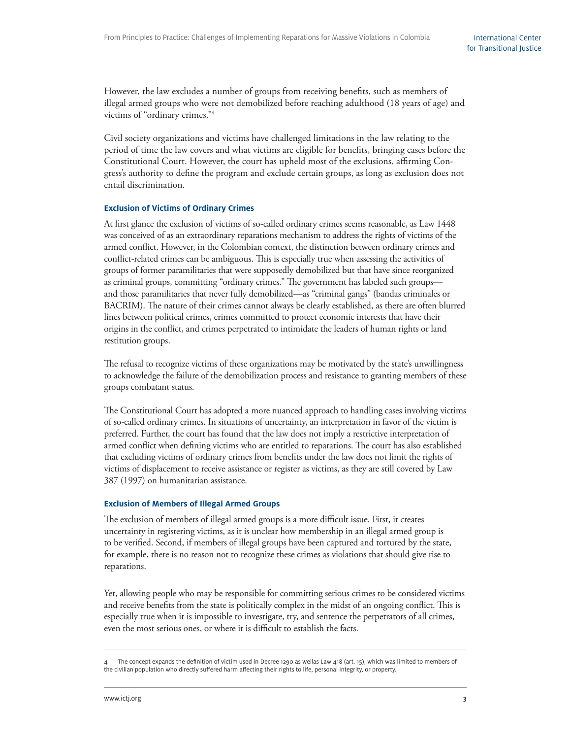However, the law excludes a number of groups from receiving benefits, such as members of illegal armed groups who were not demobilized before reaching adulthood (18 years of age) and victims of "ordinary crimes."4

Civil society organizations and victims have challenged limitations in the law relating to the period of time the law covers and what victims are eligible for benefits, bringing cases before the Constitutional Court. However, the court has upheld most of the exclusions, affirming Congress's authority to define the program and exclude certain groups, as long as exclusion does not entail discrimination.

#### **Exclusion of Victims of Ordinary Crimes**

At first glance the exclusion of victims of so-called ordinary crimes seems reasonable, as Law 1448 was conceived of as an extraordinary reparations mechanism to address the rights of victims of the armed conflict. However, in the Colombian context, the distinction between ordinary crimes and conflict-related crimes can be ambiguous. This is especially true when assessing the activities of groups of former paramilitaries that were supposedly demobilized but that have since reorganized as criminal groups, committing "ordinary crimes." The government has labeled such groupsand those paramilitaries that never fully demobilized—as "criminal gangs" (bandas criminales or BACRIM). The nature of their crimes cannot always be clearly established, as there are often blurred lines between political crimes, crimes committed to protect economic interests that have their origins in the conflict, and crimes perpetrated to intimidate the leaders of human rights or land restitution groups.

The refusal to recognize victims of these organizations may be motivated by the state's unwillingness to acknowledge the failure of the demobilization process and resistance to granting members of these groups combatant status.

The Constitutional Court has adopted a more nuanced approach to handling cases involving victims of so-called ordinary crimes. In situations of uncertainty, an interpretation in favor of the victim is preferred. Further, the court has found that the law does not imply a restrictive interpretation of armed conflict when defining victims who are entitled to reparations. The court has also established that excluding victims of ordinary crimes from benefits under the law does not limit the rights of victims of displacement to receive assistance or register as victims, as they are still covered by Law 387 (1997) on humanitarian assistance.

#### **Exclusion of Members of Illegal Armed Groups**

The exclusion of members of illegal armed groups is a more difficult issue. First, it creates uncertainty in registering victims, as it is unclear how membership in an illegal armed group is to be verified. Second, if members of illegal groups have been captured and tortured by the state, for example, there is no reason not to recognize these crimes as violations that should give rise to reparations.

Yet, allowing people who may be responsible for committing serious crimes to be considered victims and receive benefits from the state is politically complex in the midst of an ongoing conflict. This is especially true when it is impossible to investigate, try, and sentence the perpetrators of all crimes, even the most serious ones, or where it is difficult to establish the facts.

The concept expands the definition of victim used in Decree 1290 as wellas Law 418 (art. 15), which was limited to members of the civilian population who directly suffered harm affecting their rights to life, personal integrity, or property.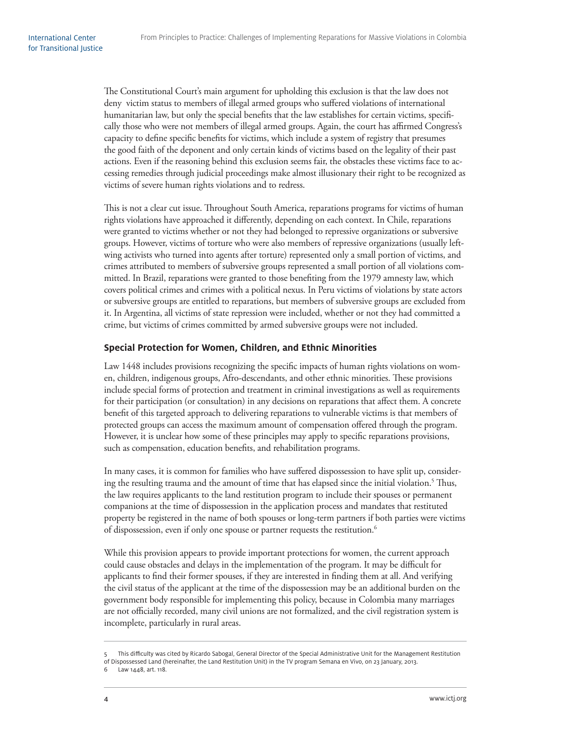The Constitutional Court's main argument for upholding this exclusion is that the law does not deny victim status to members of illegal armed groups who suffered violations of international humanitarian law, but only the special benefits that the law establishes for certain victims, specifically those who were not members of illegal armed groups. Again, the court has affirmed Congress's capacity to define specific benefits for victims, which include a system of registry that presumes the good faith of the deponent and only certain kinds of victims based on the legality of their past actions. Even if the reasoning behind this exclusion seems fair, the obstacles these victims face to accessing remedies through judicial proceedings make almost illusionary their right to be recognized as victims of severe human rights violations and to redress.

This is not a clear cut issue. Throughout South America, reparations programs for victims of human rights violations have approached it differently, depending on each context. In Chile, reparations were granted to victims whether or not they had belonged to repressive organizations or subversive groups. However, victims of torture who were also members of repressive organizations (usually leftwing activists who turned into agents after torture) represented only a small portion of victims, and crimes attributed to members of subversive groups represented a small portion of all violations committed. In Brazil, reparations were granted to those benefiting from the 1979 amnesty law, which covers political crimes and crimes with a political nexus. In Peru victims of violations by state actors or subversive groups are entitled to reparations, but members of subversive groups are excluded from it. In Argentina, all victims of state repression were included, whether or not they had committed a crime, but victims of crimes committed by armed subversive groups were not included.

#### **Special Protection for Women, Children, and Ethnic Minorities**

Law 1448 includes provisions recognizing the specific impacts of human rights violations on women, children, indigenous groups, Afro-descendants, and other ethnic minorities. These provisions include special forms of protection and treatment in criminal investigations as well as requirements for their participation (or consultation) in any decisions on reparations that affect them. A concrete benefit of this targeted approach to delivering reparations to vulnerable victims is that members of protected groups can access the maximum amount of compensation offered through the program. However, it is unclear how some of these principles may apply to specific reparations provisions, such as compensation, education benefits, and rehabilitation programs.

In many cases, it is common for families who have suffered dispossession to have split up, considering the resulting trauma and the amount of time that has elapsed since the initial violation.<sup>5</sup> Thus, the law requires applicants to the land restitution program to include their spouses or permanent companions at the time of dispossession in the application process and mandates that restituted property be registered in the name of both spouses or long-term partners if both parties were victims of dispossession, even if only one spouse or partner requests the restitution.<sup>6</sup>

While this provision appears to provide important protections for women, the current approach could cause obstacles and delays in the implementation of the program. It may be difficult for applicants to find their former spouses, if they are interested in finding them at all. And verifying the civil status of the applicant at the time of the dispossession may be an additional burden on the government body responsible for implementing this policy, because in Colombia many marriages are not officially recorded, many civil unions are not formalized, and the civil registration system is incomplete, particularly in rural areas.

<sup>5</sup> This difficulty was cited by Ricardo Sabogal, General Director of the Special Administrative Unit for the Management Restitution of Dispossessed Land (hereinafter, the Land Restitution Unit) in the TV program Semana en Vivo, on 23 January, 2013.

<sup>6</sup> Law 1448, art. 118.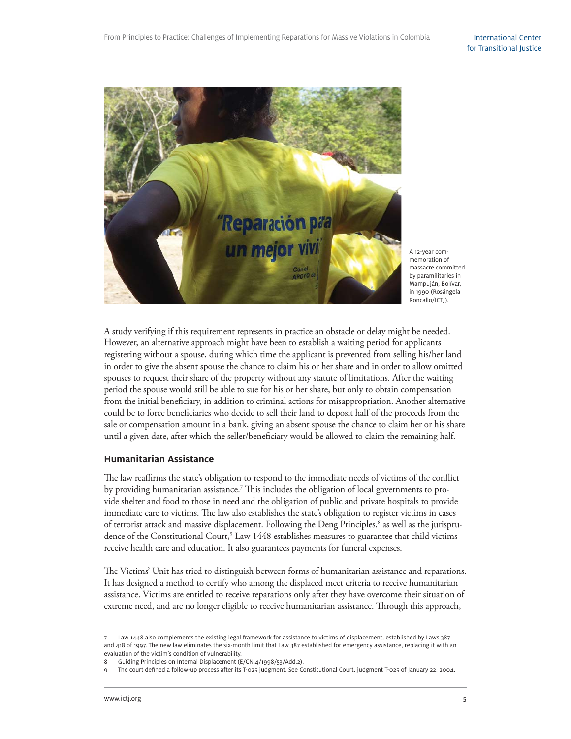

A 12-year commemoration of massacre committed by paramilitaries in Mampuján, Bolívar, in 1990 (Rosángela Roncallo/ICTJ).

A study verifying if this requirement represents in practice an obstacle or delay might be needed. However, an alternative approach might have been to establish a waiting period for applicants registering without a spouse, during which time the applicant is prevented from selling his/her land in order to give the absent spouse the chance to claim his or her share and in order to allow omitted spouses to request their share of the property without any statute of limitations. After the waiting period the spouse would still be able to sue for his or her share, but only to obtain compensation from the initial beneficiary, in addition to criminal actions for misappropriation. Another alternative could be to force beneficiaries who decide to sell their land to deposit half of the proceeds from the sale or compensation amount in a bank, giving an absent spouse the chance to claim her or his share until a given date, after which the seller/beneficiary would be allowed to claim the remaining half.

#### **Humanitarian Assistance**

The law reaffirms the state's obligation to respond to the immediate needs of victims of the conflict by providing humanitarian assistance.<sup>7</sup> This includes the obligation of local governments to provide shelter and food to those in need and the obligation of public and private hospitals to provide immediate care to victims. The law also establishes the state's obligation to register victims in cases of terrorist attack and massive displacement. Following the Deng Principles,<sup>8</sup> as well as the jurisprudence of the Constitutional Court,<sup>9</sup> Law 1448 establishes measures to guarantee that child victims receive health care and education. It also guarantees payments for funeral expenses.

The Victims' Unit has tried to distinguish between forms of humanitarian assistance and reparations. It has designed a method to certify who among the displaced meet criteria to receive humanitarian assistance. Victims are entitled to receive reparations only after they have overcome their situation of extreme need, and are no longer eligible to receive humanitarian assistance. Through this approach,

Law 1448 also complements the existing legal framework for assistance to victims of displacement, established by Laws 387 and 418 of 1997. The new law eliminates the six-month limit that Law 387 established for emergency assistance, replacing it with an evaluation of the victim's condition of vulnerability.

Guiding Principles on Internal Displacement (E/CN.4/1998/53/Add.2).

The court defined a follow-up process after its T-025 judgment. See Constitutional Court, judgment T-025 of January 22, 2004.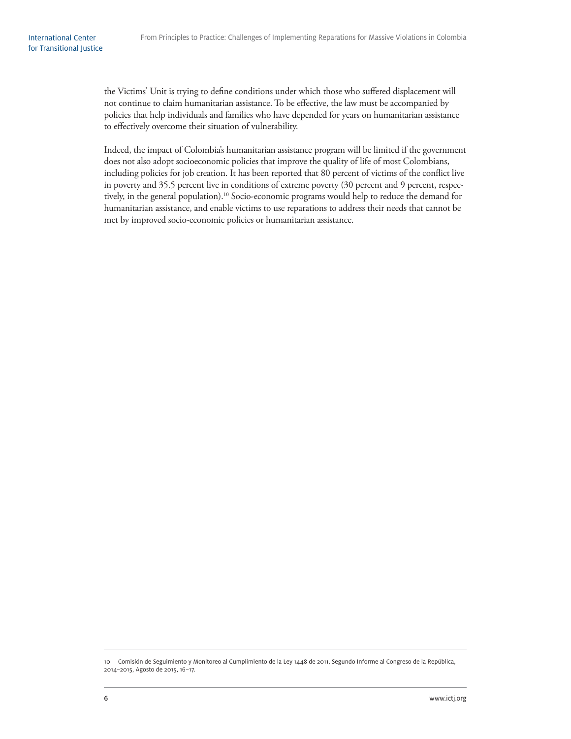the Victims' Unit is trying to define conditions under which those who suffered displacement will not continue to claim humanitarian assistance. To be effective, the law must be accompanied by policies that help individuals and families who have depended for years on humanitarian assistance to effectively overcome their situation of vulnerability.

Indeed, the impact of Colombia's humanitarian assistance program will be limited if the government does not also adopt socioeconomic policies that improve the quality of life of most Colombians, including policies for job creation. It has been reported that 80 percent of victims of the conflict live in poverty and 35.5 percent live in conditions of extreme poverty (30 percent and 9 percent, respectively, in the general population).<sup>10</sup> Socio-economic programs would help to reduce the demand for humanitarian assistance, and enable victims to use reparations to address their needs that cannot be met by improved socio-economic policies or humanitarian assistance.

<sup>10</sup> Comisión de Seguimiento y Monitoreo al Cumplimiento de la Ley 1448 de 2011, Segundo Informe al Congreso de la República, 2014–2015, Agosto de 2015, 16–17.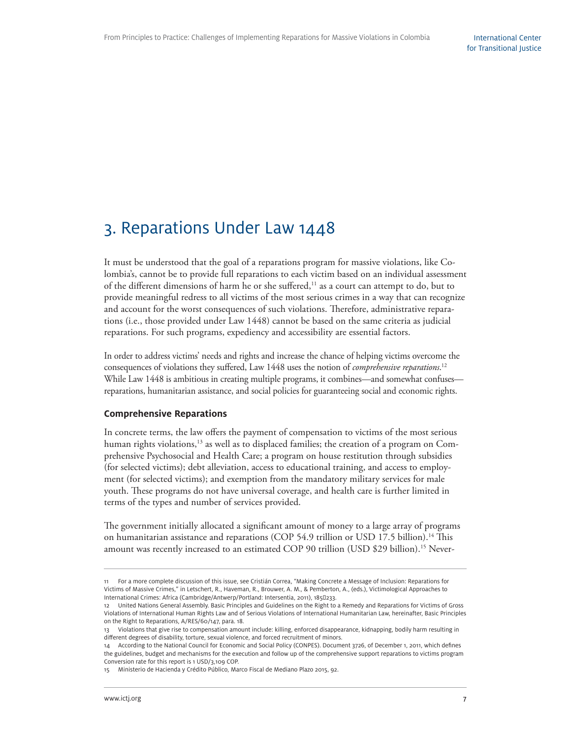## 3. Reparations Under Law 1448

It must be understood that the goal of a reparations program for massive violations, like Colombia's, cannot be to provide full reparations to each victim based on an individual assessment of the different dimensions of harm he or she suffered,<sup>11</sup> as a court can attempt to do, but to provide meaningful redress to all victims of the most serious crimes in a way that can recognize and account for the worst consequences of such violations. Therefore, administrative reparations (i.e., those provided under Law 1448) cannot be based on the same criteria as judicial reparations. For such programs, expediency and accessibility are essential factors.

In order to address victims' needs and rights and increase the chance of helping victims overcome the consequences of violations they suffered, Law 1448 uses the notion of *comprehensive reparations*.<sup>12</sup> While Law 1448 is ambitious in creating multiple programs, it combines—and somewhat confuses reparations, humanitarian assistance, and social policies for guaranteeing social and economic rights.

#### **Comprehensive Reparations**

In concrete terms, the law offers the payment of compensation to victims of the most serious human rights violations,<sup>13</sup> as well as to displaced families; the creation of a program on Comprehensive Psychosocial and Health Care; a program on house restitution through subsidies (for selected victims); debt alleviation, access to educational training, and access to employment (for selected victims); and exemption from the mandatory military services for male youth. These programs do not have universal coverage, and health care is further limited in terms of the types and number of services provided.

The government initially allocated a significant amount of money to a large array of programs on humanitarian assistance and reparations (COP 54.9 trillion or USD 17.5 billion).<sup>14</sup> This amount was recently increased to an estimated COP 90 trillion (USD \$29 billion).<sup>15</sup> Never-

<sup>11</sup> For a more complete discussion of this issue, see Cristián Correa, "Making Concrete a Message of Inclusion: Reparations for Victims of Massive Crimes," in Letschert, R., Haveman, R., Brouwer, A. M., & Pemberton, A., (eds.), Victimological Approaches to International Crimes: Africa (Cambridge/Antwerp/Portland: Intersentia, 2011), 185233.

<sup>12</sup> United Nations General Assembly. Basic Principles and Guidelines on the Right to a Remedy and Reparations for Victims of Gross Violations of International Human Rights Law and of Serious Violations of International Humanitarian Law, hereinafter, Basic Principles on the Right to Reparations, A/RES/60/147, para. 18.

<sup>13</sup> Violations that give rise to compensation amount include: killing, enforced disappearance, kidnapping, bodily harm resulting in different degrees of disability, torture, sexual violence, and forced recruitment of minors.

<sup>14</sup> According to the National Council for Economic and Social Policy (CONPES). Document 3726, of December 1, 2011, which defines the guidelines, budget and mechanisms for the execution and follow up of the comprehensive support reparations to victims program Conversion rate for this report is 1 USD/3,109 COP.

<sup>15</sup> Ministerio de Hacienda y Crédito Público, Marco Fiscal de Mediano Plazo 2015, 92.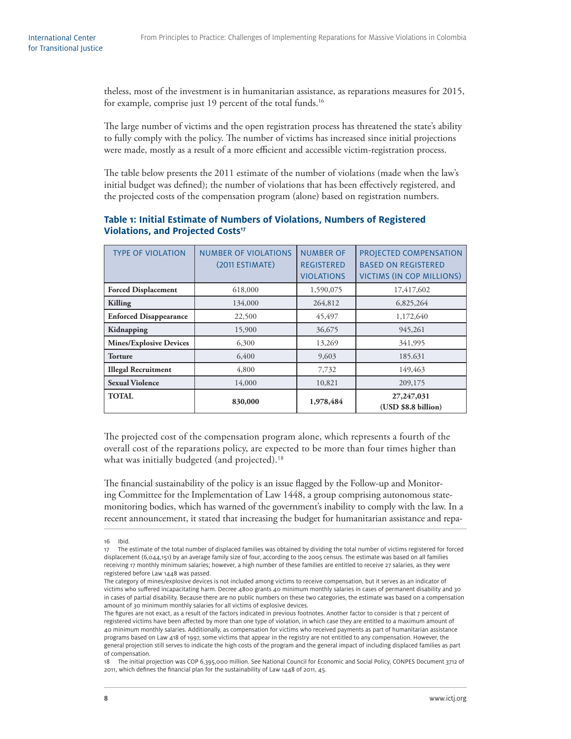theless, most of the investment is in humanitarian assistance, as reparations measures for 2015, for example, comprise just 19 percent of the total funds.<sup>16</sup>

The large number of victims and the open registration process has threatened the state's ability to fully comply with the policy. The number of victims has increased since initial projections were made, mostly as a result of a more efficient and accessible victim-registration process.

The table below presents the 2011 estimate of the number of violations (made when the law's initial budget was defined); the number of violations that has been effectively registered, and the projected costs of the compensation program (alone) based on registration numbers.

#### **Table 1: Initial Estimate of Numbers of Violations, Numbers of Registered Violations, and Projected Costs<sup>17</sup>**

| <b>TYPE OF VIOLATION</b>       | <b>NUMBER OF VIOLATIONS</b><br>(2011 ESTIMATE) | <b>NUMBER OF</b><br><b>REGISTERED</b><br><b>VIOLATIONS</b> | PROJECTED COMPENSATION<br><b>BASED ON REGISTERED</b><br><b>VICTIMS (IN COP MILLIONS)</b> |
|--------------------------------|------------------------------------------------|------------------------------------------------------------|------------------------------------------------------------------------------------------|
| <b>Forced Displacement</b>     | 618,000                                        | 1,590,075                                                  | 17,417,602                                                                               |
| Killing                        | 134,000                                        | 264,812                                                    | 6,825,264                                                                                |
| <b>Enforced Disappearance</b>  | 22,500                                         | 45,497                                                     | 1,172,640                                                                                |
| Kidnapping                     | 15,900                                         | 36,675                                                     | 945,261                                                                                  |
| <b>Mines/Explosive Devices</b> | 6,300                                          | 13,269                                                     | 341,995                                                                                  |
| <b>Torture</b>                 | 6,400                                          | 9,603                                                      | 185.631                                                                                  |
| <b>Illegal Recruitment</b>     | 4,800                                          | 7,732                                                      | 149,463                                                                                  |
| <b>Sexual Violence</b>         | 14,000                                         | 10,821                                                     | 209,175                                                                                  |
| <b>TOTAL</b>                   | 830,000                                        | 1,978,484                                                  | 27,247,031<br>(USD \$8.8 billion)                                                        |

The projected cost of the compensation program alone, which represents a fourth of the overall cost of the reparations policy, are expected to be more than four times higher than what was initially budgeted (and projected).<sup>18</sup>

The financial sustainability of the policy is an issue flagged by the Follow-up and Monitoring Committee for the Implementation of Law 1448, a group comprising autonomous statemonitoring bodies, which has warned of the government's inability to comply with the law. In a recent announcement, it stated that increasing the budget for humanitarian assistance and repa-

<sup>16</sup> Ibid.

<sup>17</sup> The estimate of the total number of displaced families was obtained by dividing the total number of victims registered for forced displacement (6,044,151) by an average family size of four, according to the 2005 census. The estimate was based on all families receiving 17 monthly minimum salaries; however, a high number of these families are entitled to receive 27 salaries, as they were registered before Law 1448 was passed.

The category of mines/explosive devices is not included among victims to receive compensation, but it serves as an indicator of victims who suffered incapacitating harm. Decree 4800 grants 40 minimum monthly salaries in cases of permanent disability and 30 in cases of partial disability. Because there are no public numbers on these two categories, the estimate was based on a compensation amount of 30 minimum monthly salaries for all victims of explosive devices.

The figures are not exact, as a result of the factors indicated in previous footnotes. Another factor to consider is that 7 percent of registered victims have been affected by more than one type of violation, in which case they are entitled to a maximum amount of 40 minimum monthly salaries. Additionally, as compensation for victims who received payments as part of humanitarian assistance programs based on Law 418 of 1997, some victims that appear in the registry are not entitled to any compensation. However, the general projection still serves to indicate the high costs of the program and the general impact of including displaced families as part of compensation.

<sup>18</sup> The initial projection was COP 6,395,000 million. See National Council for Economic and Social Policy, CONPES Document 3712 of 2011, which defines the financial plan for the sustainability of Law  $1448$  of 2011, 45.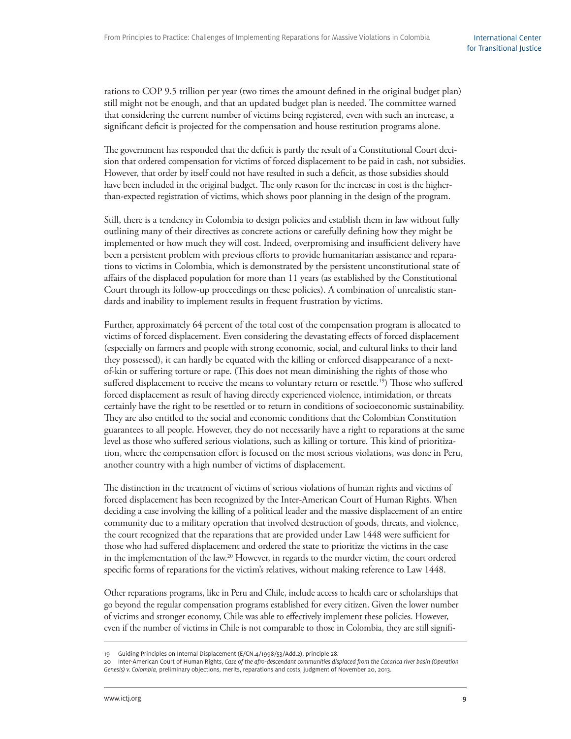rations to COP 9.5 trillion per year (two times the amount defined in the original budget plan) still might not be enough, and that an updated budget plan is needed. The committee warned that considering the current number of victims being registered, even with such an increase, a significant deficit is projected for the compensation and house restitution programs alone.

The government has responded that the deficit is partly the result of a Constitutional Court decision that ordered compensation for victims of forced displacement to be paid in cash, not subsidies. However, that order by itself could not have resulted in such a deficit, as those subsidies should have been included in the original budget. The only reason for the increase in cost is the higherthan-expected registration of victims, which shows poor planning in the design of the program.

Still, there is a tendency in Colombia to design policies and establish them in law without fully outlining many of their directives as concrete actions or carefully defining how they might be implemented or how much they will cost. Indeed, overpromising and insufficient delivery have been a persistent problem with previous efforts to provide humanitarian assistance and reparations to victims in Colombia, which is demonstrated by the persistent unconstitutional state of affairs of the displaced population for more than 11 years (as established by the Constitutional Court through its follow-up proceedings on these policies). A combination of unrealistic standards and inability to implement results in frequent frustration by victims.

Further, approximately 64 percent of the total cost of the compensation program is allocated to victims of forced displacement. Even considering the devastating effects of forced displacement (especially on farmers and people with strong economic, social, and cultural links to their land they possessed), it can hardly be equated with the killing or enforced disappearance of a nextof-kin or suffering torture or rape. (This does not mean diminishing the rights of those who suffered displacement to receive the means to voluntary return or resettle.<sup>19</sup>) Those who suffered forced displacement as result of having directly experienced violence, intimidation, or threats certainly have the right to be resettled or to return in conditions of socioeconomic sustainability. They are also entitled to the social and economic conditions that the Colombian Constitution guarantees to all people. However, they do not necessarily have a right to reparations at the same level as those who suffered serious violations, such as killing or torture. This kind of prioritization, where the compensation effort is focused on the most serious violations, was done in Peru, another country with a high number of victims of displacement.

The distinction in the treatment of victims of serious violations of human rights and victims of forced displacement has been recognized by the Inter-American Court of Human Rights. When deciding a case involving the killing of a political leader and the massive displacement of an entire community due to a military operation that involved destruction of goods, threats, and violence, the court recognized that the reparations that are provided under Law 1448 were sufficient for those who had suffered displacement and ordered the state to prioritize the victims in the case in the implementation of the law.<sup>20</sup> However, in regards to the murder victim, the court ordered specific forms of reparations for the victim's relatives, without making reference to Law 1448.

Other reparations programs, like in Peru and Chile, include access to health care or scholarships that go beyond the regular compensation programs established for every citizen. Given the lower number of victims and stronger economy, Chile was able to effectively implement these policies. However, even if the number of victims in Chile is not comparable to those in Colombia, they are still signifi-

<sup>19</sup> Guiding Principles on Internal Displacement (E/CN.4/1998/53/Add.2), principle 28.

<sup>20</sup> Inter-American Court of Human Rights, Case of the afro-descendant communities displaced from the Cacarica river basin (Operation Genesis) v. Colombia, preliminary objections, merits, reparations and costs, judgment of November 20, 2013.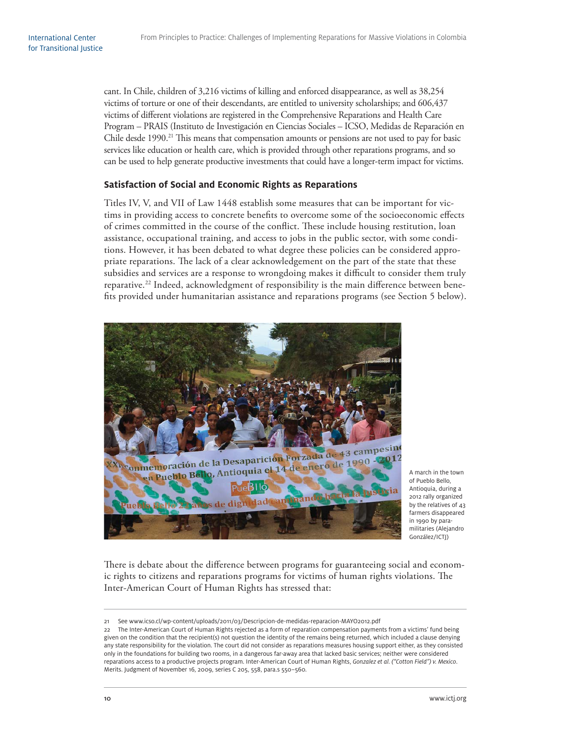cant. In Chile, children of 3,216 victims of killing and enforced disappearance, as well as 38,254 victims of torture or one of their descendants, are entitled to university scholarships; and 606,437 victims of different violations are registered in the Comprehensive Reparations and Health Care Program – PRAIS (Instituto de Investigación en Ciencias Sociales – ICSO, Medidas de Reparación en Chile desde 1990.<sup>21</sup> This means that compensation amounts or pensions are not used to pay for basic services like education or health care, which is provided through other reparations programs, and so can be used to help generate productive investments that could have a longer-term impact for victims.

#### **Satisfaction of Social and Economic Rights as Reparations**

Titles IV, V, and VII of Law 1448 establish some measures that can be important for victims in providing access to concrete benefits to overcome some of the socioeconomic effects of crimes committed in the course of the conflict. These include housing restitution, loan assistance, occupational training, and access to jobs in the public sector, with some conditions. However, it has been debated to what degree these policies can be considered appropriate reparations. The lack of a clear acknowledgement on the part of the state that these subsidies and services are a response to wrongdoing makes it difficult to consider them truly reparative.<sup>22</sup> Indeed, acknowledgment of responsibility is the main difference between benefits provided under humanitarian assistance and reparations programs (see Section 5 below).



A march in the town of Pueblo Bello, Antioquia, during a 2012 rally organized by the relatives of 43 farmers disappeared in 1990 by paramilitaries (Alejandro González/ICTJ)

There is debate about the difference between programs for guaranteeing social and economic rights to citizens and reparations programs for victims of human rights violations. The Inter-American Court of Human Rights has stressed that:

<sup>21</sup> See www.icso.cl/wp-content/uploads/2011/03/Descripcion-de-medidas-reparacion-MAYO2012.pdf

<sup>22</sup> The Inter-American Court of Human Rights rejected as a form of reparation compensation payments from a victims' fund being given on the condition that the recipient(s) not question the identity of the remains being returned, which included a clause denying any state responsibility for the violation. The court did not consider as reparations measures housing support either, as they consisted only in the foundations for building two rooms, in a dangerous far-away area that lacked basic services; neither were considered reparations access to a productive projects program. Inter-American Court of Human Rights, Gonzalez et al. ("Cotton Field") v. Mexico. Merits. Judgment of November 16, 2009, series C 205, 558, para.s 550–560.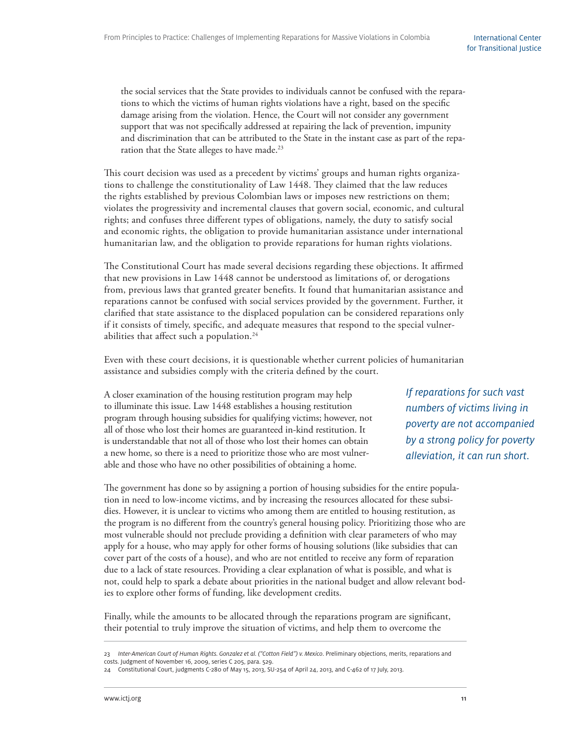the social services that the State provides to individuals cannot be confused with the reparations to which the victims of human rights violations have a right, based on the specific damage arising from the violation. Hence, the Court will not consider any government support that was not specifically addressed at repairing the lack of prevention, impunity and discrimination that can be attributed to the State in the instant case as part of the reparation that the State alleges to have made.<sup>23</sup>

This court decision was used as a precedent by victims' groups and human rights organizations to challenge the constitutionality of Law 1448. They claimed that the law reduces the rights established by previous Colombian laws or imposes new restrictions on them; violates the progressivity and incremental clauses that govern social, economic, and cultural rights; and confuses three different types of obligations, namely, the duty to satisfy social and economic rights, the obligation to provide humanitarian assistance under international humanitarian law, and the obligation to provide reparations for human rights violations.

The Constitutional Court has made several decisions regarding these objections. It affirmed that new provisions in Law 1448 cannot be understood as limitations of, or derogations from, previous laws that granted greater benefits. It found that humanitarian assistance and reparations cannot be confused with social services provided by the government. Further, it clarified that state assistance to the displaced population can be considered reparations only if it consists of timely, specific, and adequate measures that respond to the special vulnerabilities that affect such a population.<sup>24</sup>

Even with these court decisions, it is questionable whether current policies of humanitarian assistance and subsidies comply with the criteria defined by the court.

A closer examination of the housing restitution program may help to illuminate this issue. Law 1448 establishes a housing restitution program through housing subsidies for qualifying victims; however, not all of those who lost their homes are guaranteed in-kind restitution. It is understandable that not all of those who lost their homes can obtain a new home, so there is a need to prioritize those who are most vulnerable and those who have no other possibilities of obtaining a home.

If reparations for such vast numbers of victims living in poverty are not accompanied by a strong policy for poverty alleviation, it can run short.

The government has done so by assigning a portion of housing subsidies for the entire population in need to low-income victims, and by increasing the resources allocated for these subsidies. However, it is unclear to victims who among them are entitled to housing restitution, as the program is no different from the country's general housing policy. Prioritizing those who are most vulnerable should not preclude providing a definition with clear parameters of who may apply for a house, who may apply for other forms of housing solutions (like subsidies that can cover part of the costs of a house), and who are not entitled to receive any form of reparation due to a lack of state resources. Providing a clear explanation of what is possible, and what is not, could help to spark a debate about priorities in the national budget and allow relevant bodies to explore other forms of funding, like development credits.

Finally, while the amounts to be allocated through the reparations program are significant, their potential to truly improve the situation of victims, and help them to overcome the

<sup>23</sup> Inter-American Court of Human Rights. Gonzalez et al. ("Cotton Field") v. Mexico. Preliminary objections, merits, reparations and costs. Judgment of November 16, 2009, series C 205, para. 529.

<sup>24</sup> Constitutional Court, judgments C-280 of May 15, 2013, SU-254 of April 24, 2013, and C-462 of 17 July, 2013.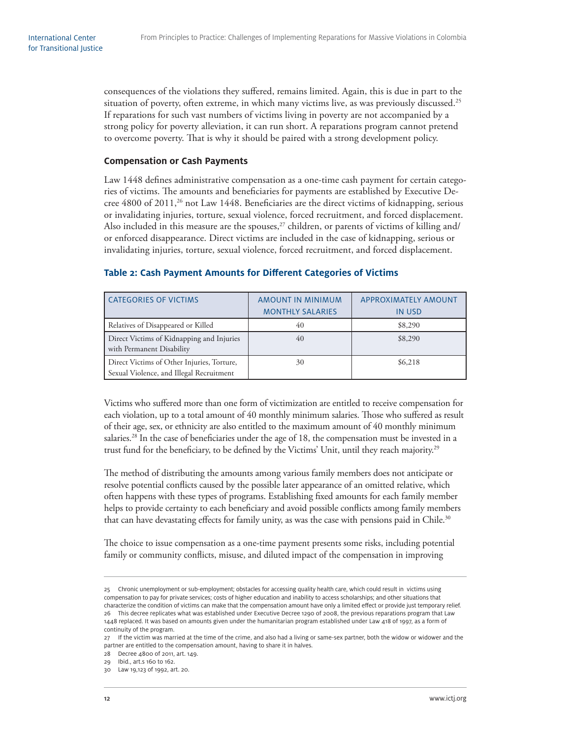consequences of the violations they suffered, remains limited. Again, this is due in part to the situation of poverty, often extreme, in which many victims live, as was previously discussed.<sup>25</sup> If reparations for such vast numbers of victims living in poverty are not accompanied by a strong policy for poverty alleviation, it can run short. A reparations program cannot pretend to overcome poverty. That is why it should be paired with a strong development policy.

#### **Compensation or Cash Payments**

Law 1448 defines administrative compensation as a one-time cash payment for certain categories of victims. The amounts and beneficiaries for payments are established by Executive Decree 4800 of 2011,<sup>26</sup> not Law 1448. Beneficiaries are the direct victims of kidnapping, serious or invalidating injuries, torture, sexual violence, forced recruitment, and forced displacement. Also included in this measure are the spouses, $27$  children, or parents of victims of killing and/ or enforced disappearance. Direct victims are included in the case of kidnapping, serious or invalidating injuries, torture, sexual violence, forced recruitment, and forced displacement.

| <b>CATEGORIES OF VICTIMS</b>                                                           | AMOUNT IN MINIMUM       | APPROXIMATELY AMOUNT |
|----------------------------------------------------------------------------------------|-------------------------|----------------------|
|                                                                                        | <b>MONTHLY SALARIES</b> | <b>IN USD</b>        |
| Relatives of Disappeared or Killed                                                     | 40                      | \$8,290              |
| Direct Victims of Kidnapping and Injuries<br>with Permanent Disability                 | 40                      | \$8,290              |
| Direct Victims of Other Injuries, Torture,<br>Sexual Violence, and Illegal Recruitment | 30                      | \$6,218              |

#### **Table 2: Cash Payment Amounts for Different Categories of Victims**

Victims who suffered more than one form of victimization are entitled to receive compensation for each violation, up to a total amount of 40 monthly minimum salaries. Those who suffered as result of their age, sex, or ethnicity are also entitled to the maximum amount of 40 monthly minimum salaries.<sup>28</sup> In the case of beneficiaries under the age of 18, the compensation must be invested in a trust fund for the beneficiary, to be defined by the Victims' Unit, until they reach majority.<sup>29</sup>

The method of distributing the amounts among various family members does not anticipate or resolve potential conflicts caused by the possible later appearance of an omitted relative, which often happens with these types of programs. Establishing fixed amounts for each family member helps to provide certainty to each beneficiary and avoid possible conflicts among family members that can have devastating effects for family unity, as was the case with pensions paid in Chile.<sup>30</sup>

The choice to issue compensation as a one-time payment presents some risks, including potential family or community conflicts, misuse, and diluted impact of the compensation in improving

<sup>25</sup> Chronic unemployment or sub-employment; obstacles for accessing quality health care, which could result in victims using compensation to pay for private services; costs of higher education and inability to access scholarships; and other situations that characterize the condition of victims can make that the compensation amount have only a limited effect or provide just temporary relief.

<sup>26</sup> This decree replicates what was established under Executive Decree 1290 of 2008, the previous reparations program that Law 1448 replaced. It was based on amounts given under the humanitarian program established under Law 418 of 1997, as a form of continuity of the program.

<sup>27</sup> If the victim was married at the time of the crime, and also had a living or same-sex partner, both the widow or widower and the partner are entitled to the compensation amount, having to share it in halves.

<sup>28</sup> Decree 4800 of 2011, art. 149.

<sup>29</sup> Ibid., art.s 160 to 162.

<sup>30</sup> Law 19,123 of 1992, art. 20.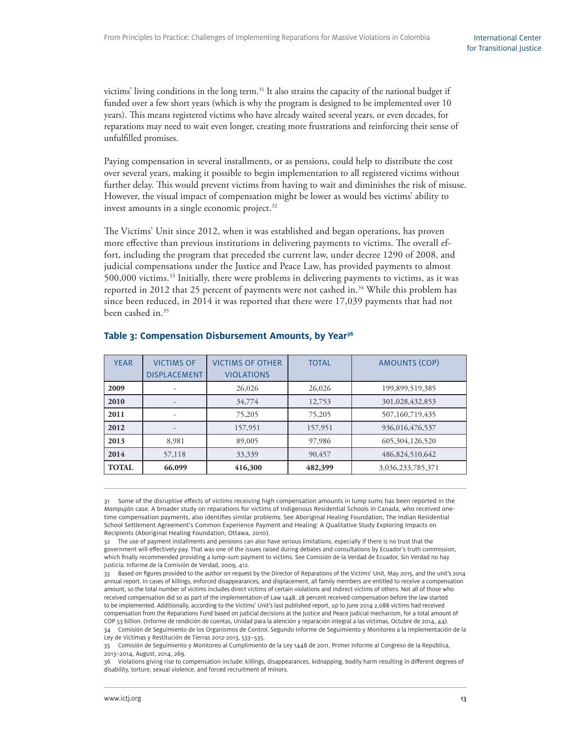victims' living conditions in the long term.<sup>31</sup> It also strains the capacity of the national budget if funded over a few short years (which is why the program is designed to be implemented over 10 years). This means registered victims who have already waited several years, or even decades, for reparations may need to wait even longer, creating more frustrations and reinforcing their sense of unfulfilled promises.

Paying compensation in several installments, or as pensions, could help to distribute the cost over several years, making it possible to begin implementation to all registered victims without further delay. This would prevent victims from having to wait and diminishes the risk of misuse. However, the visual impact of compensation might be lower as would bes victims' ability to invest amounts in a single economic project. $32$ 

The Victims' Unit since 2012, when it was established and began operations, has proven more effective than previous institutions in delivering payments to victims. The overall effort, including the program that preceded the current law, under decree 1290 of 2008, and judicial compensations under the Justice and Peace Law, has provided payments to almost 500,000 victims.33 Initially, there were problems in delivering payments to victims, as it was reported in 2012 that 25 percent of payments were not cashed in.<sup>34</sup> While this problem has since been reduced, in 2014 it was reported that there were 17,039 payments that had not been cashed in.<sup>35</sup>

| <b>YEAR</b>  | <b>VICTIMS OF</b>   | <b>VICTIMS OF OTHER</b> | <b>TOTAL</b> | <b>AMOUNTS (COP)</b> |
|--------------|---------------------|-------------------------|--------------|----------------------|
|              | <b>DISPLACEMENT</b> | <b>VIOLATIONS</b>       |              |                      |
| 2009         |                     | 26,026                  | 26,026       | 199,899,519,385      |
| 2010         |                     | 34,774                  | 12,753       | 301,028,432,853      |
| 2011         |                     | 75,205                  | 75,205       | 507,160,719,435      |
| 2012         |                     | 157,951                 | 157,951      | 936,016,476,537      |
| 2013         | 8,981               | 89,005                  | 97,986       | 605,304,126,520      |
| 2014         | 57,118              | 33,339                  | 90,457       | 486,824,510,642      |
| <b>TOTAL</b> | 66.099              | 416,300                 | 482,399      | 3,036,233,785,371    |

#### Table 3: Compensation Disbursement Amounts, by Year<sup>36</sup>

<sup>31</sup> Some of the disruptive effects of victims receiving high compensation amounts in lump sums has been reported in the Mampuján case. A broader study on reparations for victims of Indigenous Residential Schools in Canada, who received onetime compensation payments, also identifies similar problems. See Aboriginal Healing Foundation, The Indian Residential School Settlement Agreement's Common Experience Payment and Healing: A Qualitative Study Exploring Impacts on Recipients (Aboriginal Healing Foundation, Ottawa, 2010).

<sup>32</sup> The use of payment installments and pensions can also have serious limitations, especially if there is no trust that the government will effectively pay. That was one of the issues raised during debates and consultations by Ecuador's truth commission, which finally recommended providing a lump-sum payment to victims. See Comisión de la Verdad de Ecuador, Sin Verdad no hay Justicia: Informe de la Comisión de Verdad, 2009, 412.

<sup>33</sup> Based on figures provided to the author on request by the Director of Reparations of the Victims' Unit, May 2015, and the unit's 2014 annual report. In cases of killings, enforced disappearances, and displacement, all family members are entitled to receive a compensation amount, so the total number of victims includes direct victims of certain violations and indirect victims of others. Not all of those who received compensation did so as part of the implementation of Law 1448. 28 percent received compensation before the law started to be implemented. Additionally, according to the Victims' Unit's last published report, up to June 2014 2,088 victims had received compensation from the Reparations Fund based on judicial decisions at the Justice and Peace judicial mechanism, for a total amount of COP 53 billion. (Informe de rendición de cuentas, Unidad para la atención y reparación integral a las víctimas, Octubre de 2014, 44). 34 Comisión de Seguimiento de los Organismos de Control. Segundo Informe de Seguimiento y Monitoreo a la Implementación de la Ley de Víctimas y Restitución de Tierras 2012-2013, 533–535.

<sup>35</sup> Comisión de Seguimiento y Monitoreo al Cumplimiento de la Ley 1448 de 2011, Primer Informe al Congreso de la República, 2013–2014, August, 2014, 269.

<sup>36</sup> Violations giving rise to compensation include: killings, disappearances, kidnapping, bodily harm resulting in different degrees of disability, torture, sexual violence, and forced recruitment of minors.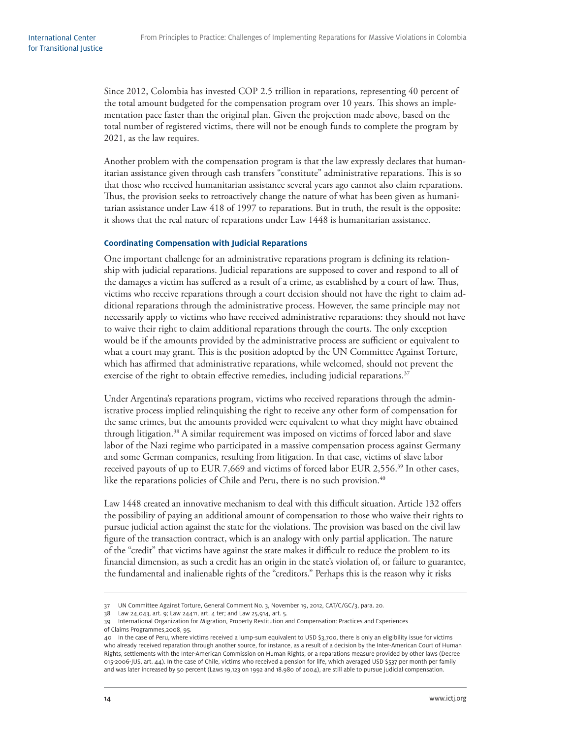Since 2012, Colombia has invested COP 2.5 trillion in reparations, representing 40 percent of the total amount budgeted for the compensation program over 10 years. This shows an implementation pace faster than the original plan. Given the projection made above, based on the total number of registered victims, there will not be enough funds to complete the program by 2021, as the law requires.

Another problem with the compensation program is that the law expressly declares that humanitarian assistance given through cash transfers "constitute" administrative reparations. This is so that those who received humanitarian assistance several years ago cannot also claim reparations. Thus, the provision seeks to retroactively change the nature of what has been given as humanitarian assistance under Law 418 of 1997 to reparations. But in truth, the result is the opposite: it shows that the real nature of reparations under Law 1448 is humanitarian assistance.

#### **Coordinating Compensation with Judicial Reparations**

One important challenge for an administrative reparations program is defining its relationship with judicial reparations. Judicial reparations are supposed to cover and respond to all of the damages a victim has suffered as a result of a crime, as established by a court of law. Thus, victims who receive reparations through a court decision should not have the right to claim additional reparations through the administrative process. However, the same principle may not necessarily apply to victims who have received administrative reparations: they should not have to waive their right to claim additional reparations through the courts. The only exception would be if the amounts provided by the administrative process are sufficient or equivalent to what a court may grant. This is the position adopted by the UN Committee Against Torture, which has affirmed that administrative reparations, while welcomed, should not prevent the exercise of the right to obtain effective remedies, including judicial reparations. $37$ 

Under Argentina's reparations program, victims who received reparations through the administrative process implied relinquishing the right to receive any other form of compensation for the same crimes, but the amounts provided were equivalent to what they might have obtained through litigation.<sup>38</sup> A similar requirement was imposed on victims of forced labor and slave labor of the Nazi regime who participated in a massive compensation process against Germany and some German companies, resulting from litigation. In that case, victims of slave labor received payouts of up to EUR 7,669 and victims of forced labor EUR 2,556.39 In other cases, like the reparations policies of Chile and Peru, there is no such provision. $40$ 

Law 1448 created an innovative mechanism to deal with this difficult situation. Article 132 offers the possibility of paying an additional amount of compensation to those who waive their rights to pursue judicial action against the state for the violations. The provision was based on the civil law figure of the transaction contract, which is an analogy with only partial application. The nature of the "credit" that victims have against the state makes it difficult to reduce the problem to its financial dimension, as such a credit has an origin in the state's violation of, or failure to guarantee, the fundamental and inalienable rights of the "creditors." Perhaps this is the reason why it risks

<sup>37</sup> UN Committee Against Torture, General Comment No. 3, November 19, 2012, CAT/C/GC/3, para. 20.

<sup>38</sup> Law 24,043, art. 9; Law 24411, art. 4 ter; and Law 25,914, art. 5.

<sup>39</sup> International Organization for Migration, Property Restitution and Compensation: Practices and Experiences

of Claims Programmes,2008, 95.

<sup>40</sup> In the case of Peru, where victims received a lump-sum equivalent to USD \$3,700, there is only an eligibility issue for victims who already received reparation through another source, for instance, as a result of a decision by the Inter-American Court of Human Rights, settlements with the Inter-American Commission on Human Rights, or a reparations measure provided by other laws (Decree 015-2006-JUS, art. 44). In the case of Chile, victims who received a pension for life, which averaged USD \$537 per month per family and was later increased by 50 percent (Laws 19,123 on 1992 and 18.980 of 2004), are still able to pursue judicial compensation.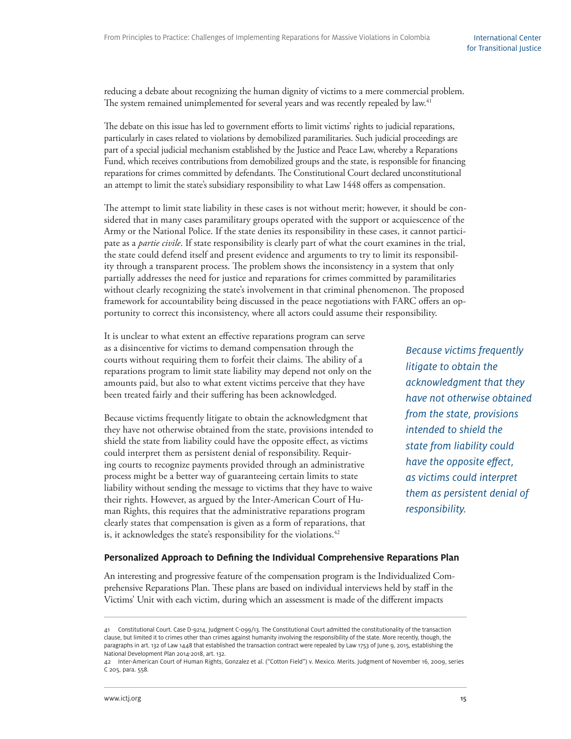International Center for Transitional Justice

reducing a debate about recognizing the human dignity of victims to a mere commercial problem. The system remained unimplemented for several years and was recently repealed by law.<sup>41</sup>

The debate on this issue has led to government efforts to limit victims' rights to judicial reparations, particularly in cases related to violations by demobilized paramilitaries. Such judicial proceedings are part of a special judicial mechanism established by the Justice and Peace Law, whereby a Reparations Fund, which receives contributions from demobilized groups and the state, is responsible for financing reparations for crimes committed by defendants. The Constitutional Court declared unconstitutional an attempt to limit the state's subsidiary responsibility to what Law 1448 offers as compensation.

The attempt to limit state liability in these cases is not without merit; however, it should be considered that in many cases paramilitary groups operated with the support or acquiescence of the Army or the National Police. If the state denies its responsibility in these cases, it cannot participate as a *partie civile*. If state responsibility is clearly part of what the court examines in the trial, the state could defend itself and present evidence and arguments to try to limit its responsibility through a transparent process. The problem shows the inconsistency in a system that only partially addresses the need for justice and reparations for crimes committed by paramilitaries without clearly recognizing the state's involvement in that criminal phenomenon. The proposed framework for accountability being discussed in the peace negotiations with FARC offers an opportunity to correct this inconsistency, where all actors could assume their responsibility.

It is unclear to what extent an effective reparations program can serve as a disincentive for victims to demand compensation through the courts without requiring them to forfeit their claims. The ability of a reparations program to limit state liability may depend not only on the amounts paid, but also to what extent victims perceive that they have been treated fairly and their suffering has been acknowledged.

Because victims frequently litigate to obtain the acknowledgment that they have not otherwise obtained from the state, provisions intended to shield the state from liability could have the opposite effect, as victims could interpret them as persistent denial of responsibility. Requiring courts to recognize payments provided through an administrative process might be a better way of guaranteeing certain limits to state liability without sending the message to victims that they have to waive their rights. However, as argued by the Inter-American Court of Human Rights, this requires that the administrative reparations program clearly states that compensation is given as a form of reparations, that is, it acknowledges the state's responsibility for the violations.<sup>42</sup>

Because victims frequently litigate to obtain the acknowledgment that they have not otherwise obtained from the state, provisions intended to shield the state from liability could have the opposite effect, as victims could interpret them as persistent denial of responsibility.

#### **Personalized Approach to Defining the Individual Comprehensive Reparations Plan**

An interesting and progressive feature of the compensation program is the Individualized Comprehensive Reparations Plan. These plans are based on individual interviews held by staff in the Victims' Unit with each victim, during which an assessment is made of the different impacts

<sup>41</sup> Constitutional Court. Case D-9214, Judgment C-099/13. The Constitutional Court admitted the constitutionality of the transaction clause, but limited it to crimes other than crimes against humanity involving the responsibility of the state. More recently, though, the paragraphs in art. 132 of Law 1448 that established the transaction contract were repealed by Law 1753 of June 9, 2015, establishing the National Development Plan 2014-2018, art. 132.

<sup>42</sup> Inter-American Court of Human Rights, Gonzalez et al. ("Cotton Field") v. Mexico. Merits. Judgment of November 16, 2009, series C 205, para. 558.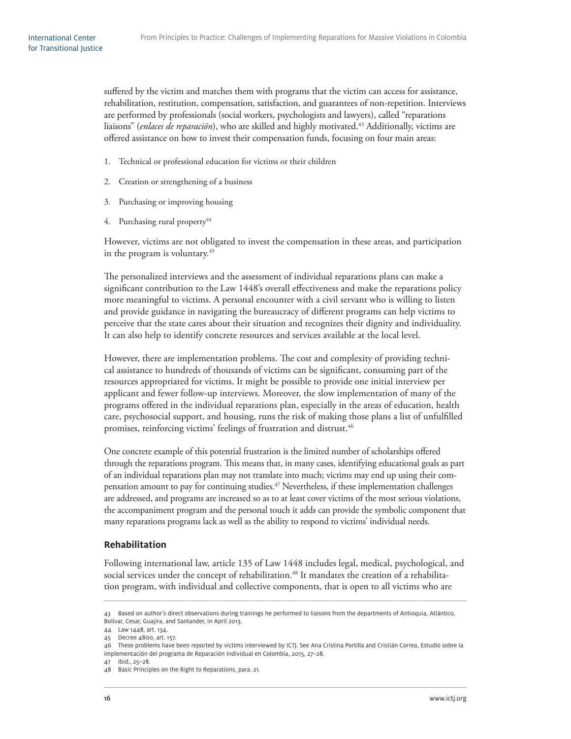suffered by the victim and matches them with programs that the victim can access for assistance, rehabilitation, restitution, compensation, satisfaction, and guarantees of non-repetition. Interviews are performed by professionals (social workers, psychologists and lawyers), called "reparations liaisons" (*enlaces de reparación*), who are skilled and highly motivated.43 Additionally, victims are offered assistance on how to invest their compensation funds, focusing on four main areas:

- 1. Technical or professional education for victims or their children
- 2. Creation or strengthening of a business
- 3. Purchasing or improving housing
- 4. Purchasing rural property<sup>44</sup>

However, victims are not obligated to invest the compensation in these areas, and participation in the program is voluntary.<sup>45</sup>

The personalized interviews and the assessment of individual reparations plans can make a significant contribution to the Law 1448's overall effectiveness and make the reparations policy more meaningful to victims. A personal encounter with a civil servant who is willing to listen and provide guidance in navigating the bureaucracy of different programs can help victims to perceive that the state cares about their situation and recognizes their dignity and individuality. It can also help to identify concrete resources and services available at the local level.

However, there are implementation problems. The cost and complexity of providing technical assistance to hundreds of thousands of victims can be significant, consuming part of the resources appropriated for victims. It might be possible to provide one initial interview per applicant and fewer follow-up interviews. Moreover, the slow implementation of many of the programs offered in the individual reparations plan, especially in the areas of education, health care, psychosocial support, and housing, runs the risk of making those plans a list of unfulfilled promises, reinforcing victims' feelings of frustration and distrust.<sup>46</sup>

One concrete example of this potential frustration is the limited number of scholarships offered through the reparations program. This means that, in many cases, identifying educational goals as part of an individual reparations plan may not translate into much; victims may end up using their compensation amount to pay for continuing studies.<sup>47</sup> Nevertheless, if these implementation challenges are addressed, and programs are increased so as to at least cover victims of the most serious violations, the accompaniment program and the personal touch it adds can provide the symbolic component that many reparations programs lack as well as the ability to respond to victims' individual needs.

#### **Rehabilitation**

Following international law, article 135 of Law 1448 includes legal, medical, psychological, and social services under the concept of rehabilitation.<sup>48</sup> It mandates the creation of a rehabilitation program, with individual and collective components, that is open to all victims who are

47 Ibid., 25–28.

<sup>43</sup> Based on author's direct observations during trainings he performed to liaisons from the departments of Antioquia, Atlántico, Bolívar, Cesar, Guajira, and Santander, in April 2013.

<sup>44</sup> Law 1448, art. 134.

<sup>45</sup> Decree 4800, art. 157.

<sup>46</sup> These problems have been reported by victims interviewed by ICTJ. See Ana Cristina Portilla and Cristián Correa, Estudio sobre la implementación del programa de Reparación Individual en Colombia, 2015, 27–28.

<sup>48</sup> Basic Principles on the Right to Reparations, para. 21.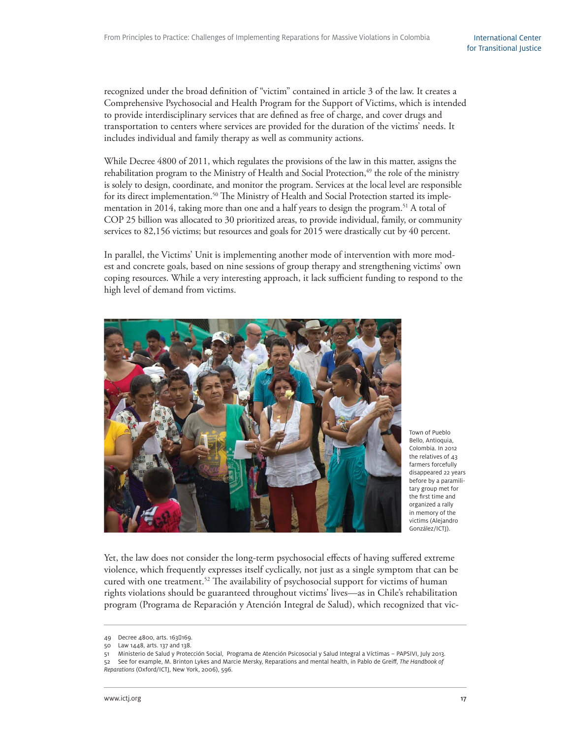recognized under the broad definition of "victim" contained in article 3 of the law. It creates a Comprehensive Psychosocial and Health Program for the Support of Victims, which is intended to provide interdisciplinary services that are defined as free of charge, and cover drugs and transportation to centers where services are provided for the duration of the victims' needs. It includes individual and family therapy as well as community actions.

While Decree 4800 of 2011, which regulates the provisions of the law in this matter, assigns the rehabilitation program to the Ministry of Health and Social Protection, $49$  the role of the ministry is solely to design, coordinate, and monitor the program. Services at the local level are responsible for its direct implementation.<sup>50</sup> The Ministry of Health and Social Protection started its implementation in 2014, taking more than one and a half years to design the program.<sup>51</sup> A total of COP 25 billion was allocated to 30 prioritized areas, to provide individual, family, or community services to 82,156 victims; but resources and goals for 2015 were drastically cut by 40 percent.

In parallel, the Victims' Unit is implementing another mode of intervention with more modest and concrete goals, based on nine sessions of group therapy and strengthening victims' own coping resources. While a very interesting approach, it lack sufficient funding to respond to the high level of demand from victims.



Town of Pueblo Bello, Antioquia, Colombia. In 2012 the relatives of 43 farmers forcefully disappeared 22 years before by a paramilitary group met for the first time and organized a rally in memory of the victims (Alejandro González/ICTJ).

Yet, the law does not consider the long-term psychosocial effects of having suffered extreme violence, which frequently expresses itself cyclically, not just as a single symptom that can be cured with one treatment.<sup>52</sup> The availability of psychosocial support for victims of human rights violations should be guaranteed throughout victims' lives—as in Chile's rehabilitation program (Programa de Reparación y Atención Integral de Salud), which recognized that vic-

<sup>49</sup> Decree 4800, arts. 1630169.

<sup>50</sup> Law 1448, arts. 137 and 138.

<sup>51</sup> Ministerio de Salud y Protección Social, Programa de Atención Psicosocial y Salud Integral a Víctimas – PAPSIVI, July 2013. 52 See for example, M. Brinton Lykes and Marcie Mersky, Reparations and mental health, in Pablo de Greiff, The Handbook of Reparations (Oxford/ICTJ, New York, 2006), 596.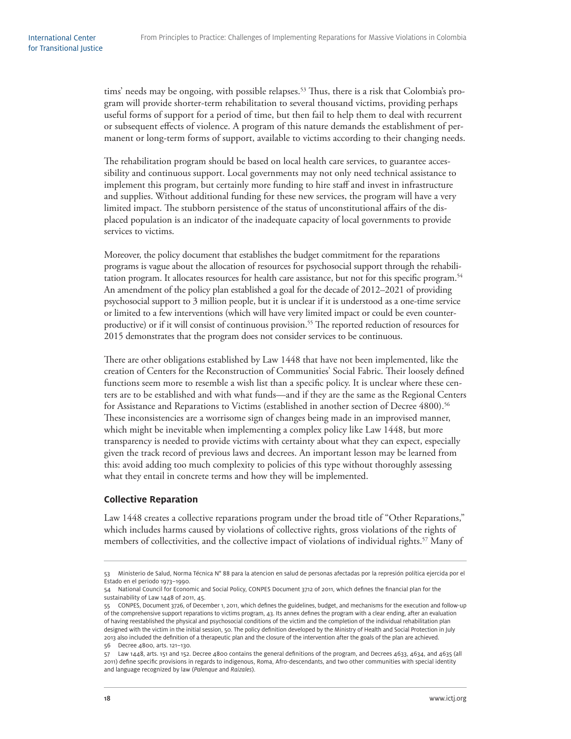tims' needs may be ongoing, with possible relapses.<sup>53</sup> Thus, there is a risk that Colombia's program will provide shorter-term rehabilitation to several thousand victims, providing perhaps useful forms of support for a period of time, but then fail to help them to deal with recurrent or subsequent effects of violence. A program of this nature demands the establishment of permanent or long-term forms of support, available to victims according to their changing needs.

The rehabilitation program should be based on local health care services, to guarantee accessibility and continuous support. Local governments may not only need technical assistance to implement this program, but certainly more funding to hire staff and invest in infrastructure and supplies. Without additional funding for these new services, the program will have a very limited impact. The stubborn persistence of the status of unconstitutional affairs of the displaced population is an indicator of the inadequate capacity of local governments to provide services to victims.

Moreover, the policy document that establishes the budget commitment for the reparations programs is vague about the allocation of resources for psychosocial support through the rehabilitation program. It allocates resources for health care assistance, but not for this specific program.<sup>54</sup> An amendment of the policy plan established a goal for the decade of 2012–2021 of providing psychosocial support to 3 million people, but it is unclear if it is understood as a one-time service or limited to a few interventions (which will have very limited impact or could be even counterproductive) or if it will consist of continuous provision.<sup>55</sup> The reported reduction of resources for 2015 demonstrates that the program does not consider services to be continuous.

There are other obligations established by Law 1448 that have not been implemented, like the creation of Centers for the Reconstruction of Communities' Social Fabric. Their loosely defined functions seem more to resemble a wish list than a specific policy. It is unclear where these centers are to be established and with what funds—and if they are the same as the Regional Centers for Assistance and Reparations to Victims (established in another section of Decree 4800).<sup>56</sup> These inconsistencies are a worrisome sign of changes being made in an improvised manner, which might be inevitable when implementing a complex policy like Law 1448, but more transparency is needed to provide victims with certainty about what they can expect, especially given the track record of previous laws and decrees. An important lesson may be learned from this: avoid adding too much complexity to policies of this type without thoroughly assessing what they entail in concrete terms and how they will be implemented.

#### **Collective Reparation**

Law 1448 creates a collective reparations program under the broad title of "Other Reparations," which includes harms caused by violations of collective rights, gross violations of the rights of members of collectivities, and the collective impact of violations of individual rights.<sup>57</sup> Many of

<sup>53</sup> Ministerio de Salud, Norma Técnica N° 88 para la atencion en salud de personas afectadas por la represión política ejercida por el Estado en el periodo 1973–1990.

<sup>54</sup> National Council for Economic and Social Policy, CONPES Document 3712 of 2011, which defines the financial plan for the sustainability of Law 1448 of 2011, 45.

<sup>55</sup> CONPES, Document 3726, of December 1, 2011, which defines the guidelines, budget, and mechanisms for the execution and follow-up of the comprehensive support reparations to victims program, 43. Its annex defines the program with a clear ending, after an evaluation of having reestablished the physical and psychosocial conditions of the victim and the completion of the individual rehabilitation plan designed with the victim in the initial session, 50. The policy definition developed by the Ministry of Health and Social Protection in July 2013 also included the definition of a therapeutic plan and the closure of the intervention after the goals of the plan are achieved. 56 Decree 4800, arts. 121–130.

 $57$  Law 1448, arts. 151 and 152. Decree 4800 contains the general definitions of the program, and Decrees 4633, 4634, and 4635 (all 2011) define specific provisions in regards to indigenous, Roma, Afro-descendants, and two other communities with special identity and language recognized by law (Palenque and Raizales).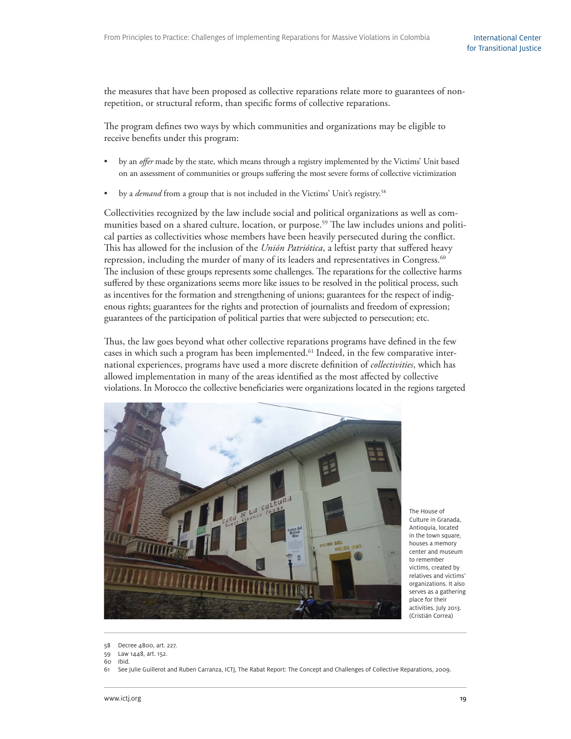the measures that have been proposed as collective reparations relate more to guarantees of nonrepetition, or structural reform, than specific forms of collective reparations.

The program defines two ways by which communities and organizations may be eligible to receive benefits under this program:

- by an *offer* made by the state, which means through a registry implemented by the Victims' Unit based on an assessment of communities or groups suffering the most severe forms of collective victimization
- by a *demand* from a group that is not included in the Victims' Unit's registry.<sup>58</sup>

Collectivities recognized by the law include social and political organizations as well as communities based on a shared culture, location, or purpose.<sup>59</sup> The law includes unions and political parties as collectivities whose members have been heavily persecuted during the conflict. This has allowed for the inclusion of the *Unión Patriótica*, a leftist party that suffered heavy repression, including the murder of many of its leaders and representatives in Congress.<sup>60</sup> The inclusion of these groups represents some challenges. The reparations for the collective harms suffered by these organizations seems more like issues to be resolved in the political process, such as incentives for the formation and strengthening of unions; guarantees for the respect of indigenous rights; guarantees for the rights and protection of journalists and freedom of expression; guarantees of the participation of political parties that were subjected to persecution; etc.

Thus, the law goes beyond what other collective reparations programs have defined in the few cases in which such a program has been implemented.<sup>61</sup> Indeed, in the few comparative international experiences, programs have used a more discrete definition of *collectivities*, which has allowed implementation in many of the areas identified as the most affected by collective violations. In Morocco the collective beneficiaries were organizations located in the regions targeted



The House of Culture in Granada, Antioquia, located in the town square, houses a memory center and museum to remember victims, created by relatives and victims' organizations. It also serves as a gathering place for their activities. July 2013. (Cristián Correa)

59 Law 1448, art. 152.

<sup>58</sup> Decree 4800, art. 227.

<sup>60</sup> Ibid.

<sup>61</sup> See Julie Guillerot and Ruben Carranza, ICTJ, The Rabat Report: The Concept and Challenges of Collective Reparations, 2009.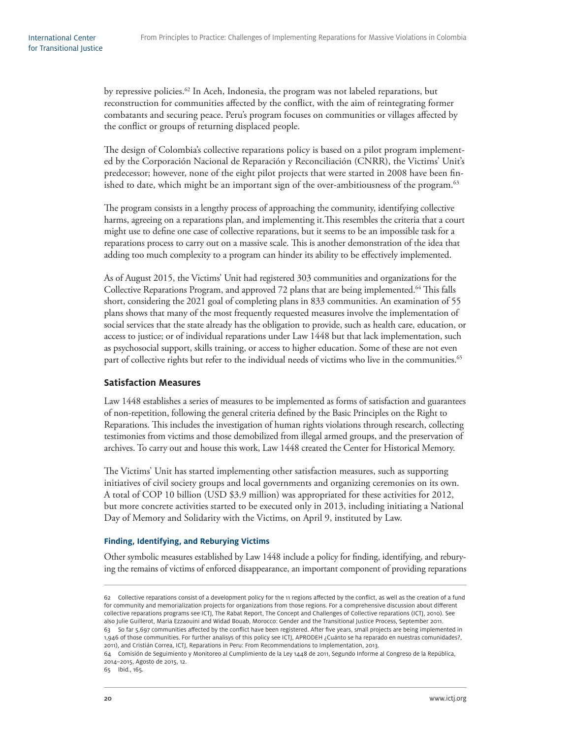by repressive policies.<sup>62</sup> In Aceh, Indonesia, the program was not labeled reparations, but reconstruction for communities affected by the conflict, with the aim of reintegrating former combatants and securing peace. Peru's program focuses on communities or villages affected by the conflict or groups of returning displaced people.

The design of Colombia's collective reparations policy is based on a pilot program implemented by the Corporación Nacional de Reparación y Reconciliación (CNRR), the Victims' Unit's predecessor; however, none of the eight pilot projects that were started in 2008 have been finished to date, which might be an important sign of the over-ambitiousness of the program.<sup>63</sup>

The program consists in a lengthy process of approaching the community, identifying collective harms, agreeing on a reparations plan, and implementing it. This resembles the criteria that a court might use to define one case of collective reparations, but it seems to be an impossible task for a reparations process to carry out on a massive scale. This is another demonstration of the idea that adding too much complexity to a program can hinder its ability to be effectively implemented.

As of August 2015, the Victims' Unit had registered 303 communities and organizations for the Collective Reparations Program, and approved 72 plans that are being implemented.<sup>64</sup> This falls short, considering the 2021 goal of completing plans in 833 communities. An examination of 55 plans shows that many of the most frequently requested measures involve the implementation of social services that the state already has the obligation to provide, such as health care, education, or access to justice; or of individual reparations under Law 1448 but that lack implementation, such as psychosocial support, skills training, or access to higher education. Some of these are not even part of collective rights but refer to the individual needs of victims who live in the communities.<sup>65</sup>

#### **Satisfaction Measures**

Law 1448 establishes a series of measures to be implemented as forms of satisfaction and guarantees of non-repetition, following the general criteria defined by the Basic Principles on the Right to Reparations. This includes the investigation of human rights violations through research, collecting testimonies from victims and those demobilized from illegal armed groups, and the preservation of archives. To carry out and house this work, Law 1448 created the Center for Historical Memory.

The Victims' Unit has started implementing other satisfaction measures, such as supporting initiatives of civil society groups and local governments and organizing ceremonies on its own. A total of COP 10 billion (USD \$3.9 million) was appropriated for these activities for 2012, but more concrete activities started to be executed only in 2013, including initiating a National Day of Memory and Solidarity with the Victims, on April 9, instituted by Law.

#### **Finding, Identifying, and Reburying Victims**

Other symbolic measures established by Law 1448 include a policy for finding, identifying, and reburying the remains of victims of enforced disappearance, an important component of providing reparations

1,946 of those communities. For further analisys of this policy see ICTJ, APRODEH ¿Cuánto se ha reparado en nuestras comunidades?, 2011), and Cristián Correa, ICTJ, Reparations in Peru: From Recommendations to Implementation, 2013.

65 Ibid., 165.

<sup>62</sup> Collective reparations consist of a development policy for the 11 regions affected by the conflict, as well as the creation of a fund for community and memorialization projects for organizations from those regions. For a comprehensive discussion about different collective reparations programs see ICTJ, The Rabat Report, The Concept and Challenges of Collective reparations (ICTJ, 2010). See also Julie Guillerot, Maria Ezzaouini and Widad Bouab, Morocco: Gender and the Transitional Justice Process, September 2011. 63 So far 5,697 communities affected by the conflict have been registered. After five years, small projects are being implemented in

<sup>64</sup> Comisión de Seguimiento y Monitoreo al Cumplimiento de la Ley 1448 de 2011, Segundo Informe al Congreso de la República, 2014–2015, Agosto de 2015, 12.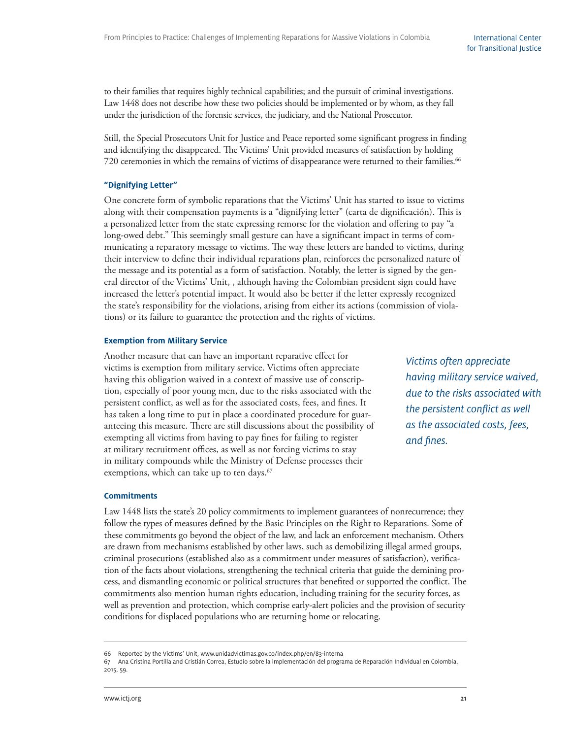to their families that requires highly technical capabilities; and the pursuit of criminal investigations. Law 1448 does not describe how these two policies should be implemented or by whom, as they fall under the jurisdiction of the forensic services, the judiciary, and the National Prosecutor.

Still, the Special Prosecutors Unit for Justice and Peace reported some significant progress in finding and identifying the disappeared. The Victims' Unit provided measures of satisfaction by holding 720 ceremonies in which the remains of victims of disappearance were returned to their families.<sup>66</sup>

#### **"Dignifying Letter"**

One concrete form of symbolic reparations that the Victims' Unit has started to issue to victims along with their compensation payments is a "dignifying letter" (carta de dignificación). This is a personalized letter from the state expressing remorse for the violation and offering to pay "a long-owed debt." This seemingly small gesture can have a significant impact in terms of communicating a reparatory message to victims. The way these letters are handed to victims, during their interview to define their individual reparations plan, reinforces the personalized nature of the message and its potential as a form of satisfaction. Notably, the letter is signed by the general director of the Victims' Unit, , although having the Colombian president sign could have increased the letter's potential impact. It would also be better if the letter expressly recognized the state's responsibility for the violations, arising from either its actions (commission of violations) or its failure to guarantee the protection and the rights of victims.

#### **Exemption from Military Service**

Another measure that can have an important reparative effect for victims is exemption from military service. Victims often appreciate having this obligation waived in a context of massive use of conscription, especially of poor young men, due to the risks associated with the persistent conflict, as well as for the associated costs, fees, and fines. It has taken a long time to put in place a coordinated procedure for guaranteeing this measure. There are still discussions about the possibility of exempting all victims from having to pay fines for failing to register at military recruitment offices, as well as not forcing victims to stay in military compounds while the Ministry of Defense processes their exemptions, which can take up to ten days.<sup>67</sup>

Victims often appreciate having military service waived, due to the risks associated with the persistent conflict as well as the associated costs, fees, and fines.

#### **Commitments**

Law 1448 lists the state's 20 policy commitments to implement guarantees of nonrecurrence; they follow the types of measures defined by the Basic Principles on the Right to Reparations. Some of these commitments go beyond the object of the law, and lack an enforcement mechanism. Others are drawn from mechanisms established by other laws, such as demobilizing illegal armed groups, criminal prosecutions (established also as a commitment under measures of satisfaction), verification of the facts about violations, strengthening the technical criteria that guide the demining process, and dismantling economic or political structures that benefited or supported the conflict. The commitments also mention human rights education, including training for the security forces, as well as prevention and protection, which comprise early-alert policies and the provision of security conditions for displaced populations who are returning home or relocating.

<sup>66</sup> Reported by the Victims' Unit, www.unidadvictimas.gov.co/index.php/en/83-interna

<sup>67</sup> Ana Cristina Portilla and Cristián Correa, Estudio sobre la implementación del programa de Reparación Individual en Colombia, 2015, 59.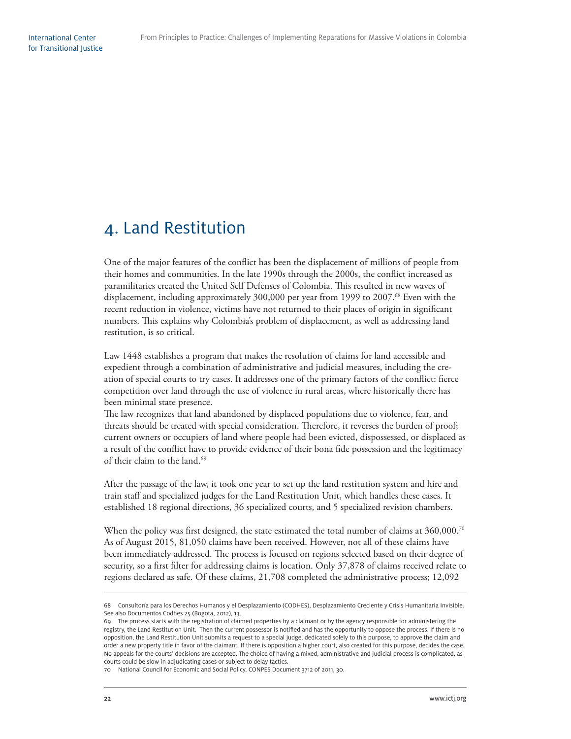## 4. Land Restitution

One of the major features of the conflict has been the displacement of millions of people from their homes and communities. In the late 1990s through the 2000s, the conflict increased as paramilitaries created the United Self Defenses of Colombia. This resulted in new waves of displacement, including approximately 300,000 per year from 1999 to 2007.<sup>68</sup> Even with the recent reduction in violence, victims have not returned to their places of origin in significant numbers. This explains why Colombia's problem of displacement, as well as addressing land restitution, is so critical.

Law 1448 establishes a program that makes the resolution of claims for land accessible and expedient through a combination of administrative and judicial measures, including the creation of special courts to try cases. It addresses one of the primary factors of the conflict: fierce competition over land through the use of violence in rural areas, where historically there has been minimal state presence.

The law recognizes that land abandoned by displaced populations due to violence, fear, and threats should be treated with special consideration. Therefore, it reverses the burden of proof; current owners or occupiers of land where people had been evicted, dispossessed, or displaced as a result of the conflict have to provide evidence of their bona fide possession and the legitimacy of their claim to the land.<sup>69</sup>

After the passage of the law, it took one year to set up the land restitution system and hire and train staff and specialized judges for the Land Restitution Unit, which handles these cases. It established 18 regional directions, 36 specialized courts, and 5 specialized revision chambers.

When the policy was first designed, the state estimated the total number of claims at  $360,000.^{70}$ As of August 2015, 81,050 claims have been received. However, not all of these claims have been immediately addressed. The process is focused on regions selected based on their degree of security, so a first filter for addressing claims is location. Only 37,878 of claims received relate to regions declared as safe. Of these claims, 21,708 completed the administrative process; 12,092

<sup>68</sup> Consultoría para los Derechos Humanos y el Desplazamiento (CODHES), Desplazamiento Creciente y Crisis Humanitaria Invisible. See also Documentos Codhes 25 (Bogota, 2012), 13.

<sup>69</sup> The process starts with the registration of claimed properties by a claimant or by the agency responsible for administering the registry, the Land Restitution Unit. Then the current possessor is notified and has the opportunity to oppose the process. If there is no opposition, the Land Restitution Unit submits a request to a special judge, dedicated solely to this purpose, to approve the claim and order a new property title in favor of the claimant. If there is opposition a higher court, also created for this purpose, decides the case. No appeals for the courts' decisions are accepted. The choice of having a mixed, administrative and judicial process is complicated, as courts could be slow in adjudicating cases or subject to delay tactics.

<sup>70</sup> National Council for Economic and Social Policy, CONPES Document 3712 of 2011, 30.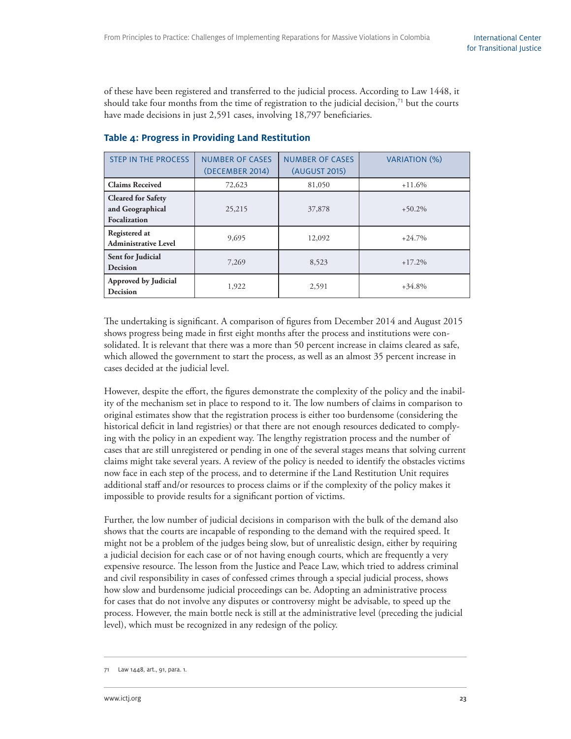of these have been registered and transferred to the judicial process. According to Law 1448, it should take four months from the time of registration to the judicial decision,<sup>71</sup> but the courts have made decisions in just 2,591 cases, involving 18,797 beneficiaries.

| <b>STEP IN THE PROCESS</b>                                    | <b>NUMBER OF CASES</b><br>(DECEMBER 2014) | <b>NUMBER OF CASES</b><br>(AUGUST 2015) | VARIATION (%) |
|---------------------------------------------------------------|-------------------------------------------|-----------------------------------------|---------------|
| <b>Claims Received</b>                                        | 72,623                                    | 81,050                                  | $+11.6%$      |
| <b>Cleared for Safety</b><br>and Geographical<br>Focalization | 25,215                                    | 37,878                                  | $+50.2\%$     |
| Registered at<br><b>Administrative Level</b>                  | 9,695                                     | 12,092                                  | $+24.7%$      |
| Sent for Judicial<br><b>Decision</b>                          | 7,269                                     | 8,523                                   | $+17.2\%$     |
| <b>Approved by Judicial</b><br>Decision                       | 1,922                                     | 2,591                                   | $+34.8%$      |

#### **Table 4: Progress in Providing Land Restitution**

The undertaking is significant. A comparison of figures from December 2014 and August 2015 shows progress being made in first eight months after the process and institutions were consolidated. It is relevant that there was a more than 50 percent increase in claims cleared as safe, which allowed the government to start the process, as well as an almost 35 percent increase in cases decided at the judicial level.

However, despite the effort, the figures demonstrate the complexity of the policy and the inability of the mechanism set in place to respond to it. The low numbers of claims in comparison to original estimates show that the registration process is either too burdensome (considering the historical deficit in land registries) or that there are not enough resources dedicated to complying with the policy in an expedient way. The lengthy registration process and the number of cases that are still unregistered or pending in one of the several stages means that solving current claims might take several years. A review of the policy is needed to identify the obstacles victims now face in each step of the process, and to determine if the Land Restitution Unit requires additional staff and/or resources to process claims or if the complexity of the policy makes it impossible to provide results for a significant portion of victims.

Further, the low number of judicial decisions in comparison with the bulk of the demand also shows that the courts are incapable of responding to the demand with the required speed. It might not be a problem of the judges being slow, but of unrealistic design, either by requiring a judicial decision for each case or of not having enough courts, which are frequently a very expensive resource. The lesson from the Justice and Peace Law, which tried to address criminal and civil responsibility in cases of confessed crimes through a special judicial process, shows how slow and burdensome judicial proceedings can be. Adopting an administrative process for cases that do not involve any disputes or controversy might be advisable, to speed up the process. However, the main bottle neck is still at the administrative level (preceding the judicial level), which must be recognized in any redesign of the policy.

Law 1448, art., 91, para. 1.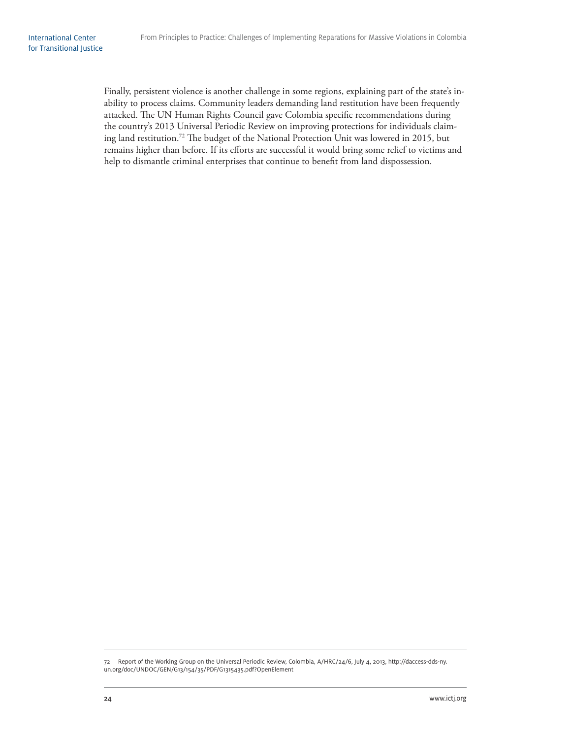Finally, persistent violence is another challenge in some regions, explaining part of the state's inability to process claims. Community leaders demanding land restitution have been frequently attacked. The UN Human Rights Council gave Colombia specific recommendations during the country's 2013 Universal Periodic Review on improving protections for individuals claiming land restitution.<sup>72</sup> The budget of the National Protection Unit was lowered in 2015, but remains higher than before. If its efforts are successful it would bring some relief to victims and help to dismantle criminal enterprises that continue to benefit from land dispossession.

<sup>72</sup> Report of the Working Group on the Universal Periodic Review, Colombia, A/HRC/24/6, July 4, 2013, http://daccess-dds-ny. un.org/doc/UNDOC/GEN/G13/154/35/PDF/G1315435.pdf?OpenElement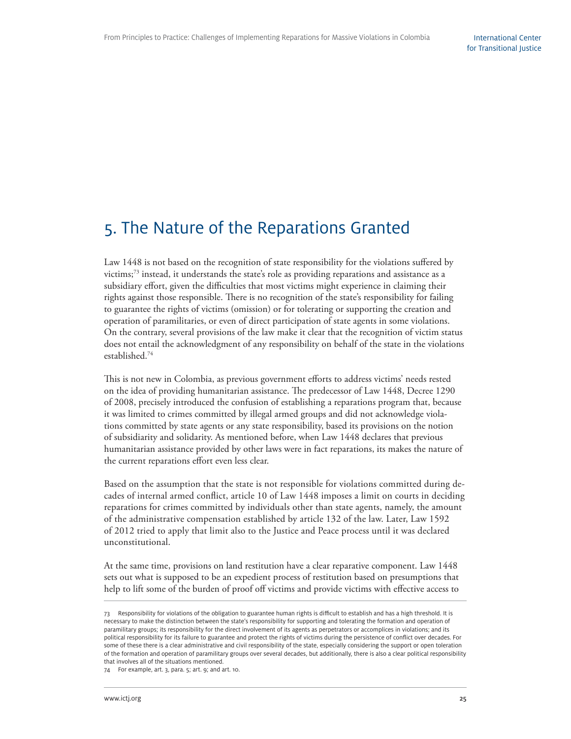### 5. The Nature of the Reparations Granted

Law 1448 is not based on the recognition of state responsibility for the violations suffered by victims;73 instead, it understands the state's role as providing reparations and assistance as a subsidiary effort, given the difficulties that most victims might experience in claiming their rights against those responsible. There is no recognition of the state's responsibility for failing to guarantee the rights of victims (omission) or for tolerating or supporting the creation and operation of paramilitaries, or even of direct participation of state agents in some violations. On the contrary, several provisions of the law make it clear that the recognition of victim status does not entail the acknowledgment of any responsibility on behalf of the state in the violations established.74

This is not new in Colombia, as previous government efforts to address victims' needs rested on the idea of providing humanitarian assistance. The predecessor of Law 1448, Decree 1290 of 2008, precisely introduced the confusion of establishing a reparations program that, because it was limited to crimes committed by illegal armed groups and did not acknowledge violations committed by state agents or any state responsibility, based its provisions on the notion of subsidiarity and solidarity. As mentioned before, when Law 1448 declares that previous humanitarian assistance provided by other laws were in fact reparations, its makes the nature of the current reparations effort even less clear.

Based on the assumption that the state is not responsible for violations committed during decades of internal armed conflict, article 10 of Law 1448 imposes a limit on courts in deciding reparations for crimes committed by individuals other than state agents, namely, the amount of the administrative compensation established by article 132 of the law. Later, Law 1592 of 2012 tried to apply that limit also to the Justice and Peace process until it was declared unconstitutional.

At the same time, provisions on land restitution have a clear reparative component. Law 1448 sets out what is supposed to be an expedient process of restitution based on presumptions that help to lift some of the burden of proof off victims and provide victims with effective access to

<sup>73</sup> Responsibility for violations of the obligation to guarantee human rights is difficult to establish and has a high threshold. It is necessary to make the distinction between the state's responsibility for supporting and tolerating the formation and operation of paramilitary groups; its responsibility for the direct involvement of its agents as perpetrators or accomplices in violations; and its political responsibility for its failure to guarantee and protect the rights of victims during the persistence of conflict over decades. For some of these there is a clear administrative and civil responsibility of the state, especially considering the support or open toleration of the formation and operation of paramilitary groups over several decades, but additionally, there is also a clear political responsibility that involves all of the situations mentioned.

<sup>74</sup> For example, art. 3, para. 5; art. 9; and art. 10.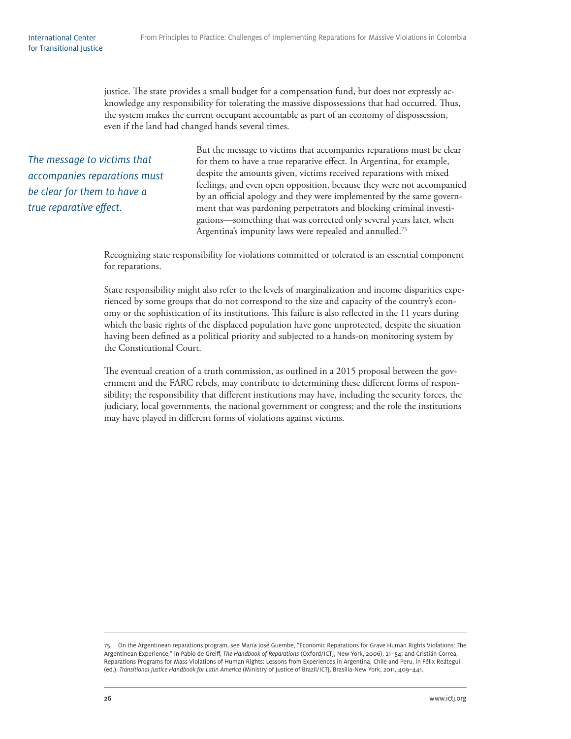justice. The state provides a small budget for a compensation fund, but does not expressly acknowledge any responsibility for tolerating the massive dispossessions that had occurred. Thus, the system makes the current occupant accountable as part of an economy of dispossession, even if the land had changed hands several times.

The message to victims that accompanies reparations must be clear for them to have a true reparative effect.

But the message to victims that accompanies reparations must be clear for them to have a true reparative effect. In Argentina, for example, despite the amounts given, victims received reparations with mixed feelings, and even open opposition, because they were not accompanied by an official apology and they were implemented by the same government that was pardoning perpetrators and blocking criminal investigations—something that was corrected only several years later, when Argentina's impunity laws were repealed and annulled.<sup>75</sup>

Recognizing state responsibility for violations committed or tolerated is an essential component for reparations.

State responsibility might also refer to the levels of marginalization and income disparities experienced by some groups that do not correspond to the size and capacity of the country's economy or the sophistication of its institutions. This failure is also reflected in the 11 years during which the basic rights of the displaced population have gone unprotected, despite the situation having been defined as a political priority and subjected to a hands-on monitoring system by the Constitutional Court.

The eventual creation of a truth commission, as outlined in a 2015 proposal between the government and the FARC rebels, may contribute to determining these different forms of responsibility; the responsibility that different institutions may have, including the security forces, the judiciary, local governments, the national government or congress; and the role the institutions may have played in different forms of violations against victims.

<sup>75</sup> On the Argentinean reparations program, see María José Guembe, "Economic Reparations for Grave Human Rights Violations: The Argentinean Experience," in Pablo de Greiff , The Handbook of Reparations (Oxford/ICTJ, New York, 2006), 21–54; and Cristián Correa, Reparations Programs for Mass Violations of Human Rights: Lessons from Experiences in Argentina, Chile and Peru, in Félix Reátegui (ed.), Transitional Justice Handbook for Latin America (Ministry of Justice of Brazil/ICTJ, Brasilia-New York, 2011, 409–441.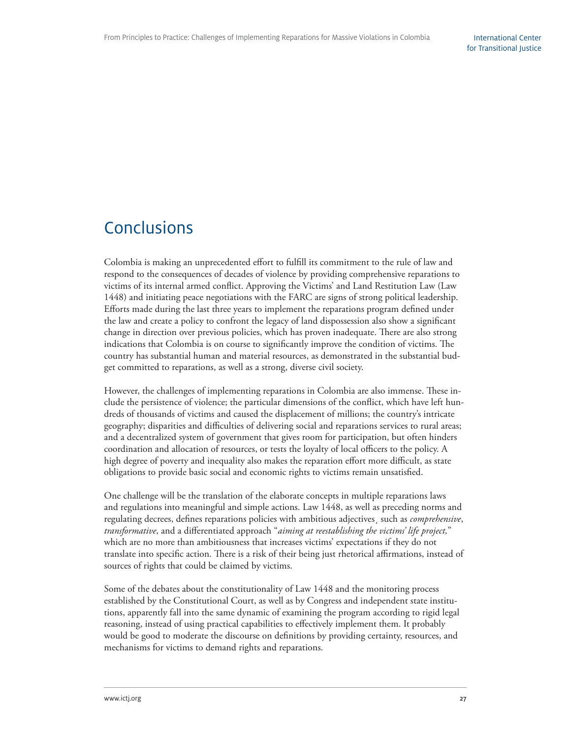# Conclusions

Colombia is making an unprecedented effort to fulfill its commitment to the rule of law and respond to the consequences of decades of violence by providing comprehensive reparations to victims of its internal armed conflict. Approving the Victims' and Land Restitution Law (Law 1448) and initiating peace negotiations with the FARC are signs of strong political leadership. Efforts made during the last three years to implement the reparations program defined under the law and create a policy to confront the legacy of land dispossession also show a significant change in direction over previous policies, which has proven inadequate. There are also strong indications that Colombia is on course to significantly improve the condition of victims. The country has substantial human and material resources, as demonstrated in the substantial budget committed to reparations, as well as a strong, diverse civil society.

However, the challenges of implementing reparations in Colombia are also immense. These include the persistence of violence; the particular dimensions of the conflict, which have left hundreds of thousands of victims and caused the displacement of millions; the country's intricate geography; disparities and difficulties of delivering social and reparations services to rural areas; and a decentralized system of government that gives room for participation, but often hinders coordination and allocation of resources, or tests the loyalty of local officers to the policy. A high degree of poverty and inequality also makes the reparation effort more difficult, as state obligations to provide basic social and economic rights to victims remain unsatisfied.

One challenge will be the translation of the elaborate concepts in multiple reparations laws and regulations into meaningful and simple actions. Law 1448, as well as preceding norms and regulating decrees, defines reparations policies with ambitious adjectives, such as *comprehensive*, *transformative*, and a differentiated approach "*aiming at reestablishing the victims' life project*," which are no more than ambitiousness that increases victims' expectations if they do not translate into specific action. There is a risk of their being just rhetorical affirmations, instead of sources of rights that could be claimed by victims.

Some of the debates about the constitutionality of Law 1448 and the monitoring process established by the Constitutional Court, as well as by Congress and independent state institutions, apparently fall into the same dynamic of examining the program according to rigid legal reasoning, instead of using practical capabilities to effectively implement them. It probably would be good to moderate the discourse on definitions by providing certainty, resources, and mechanisms for victims to demand rights and reparations.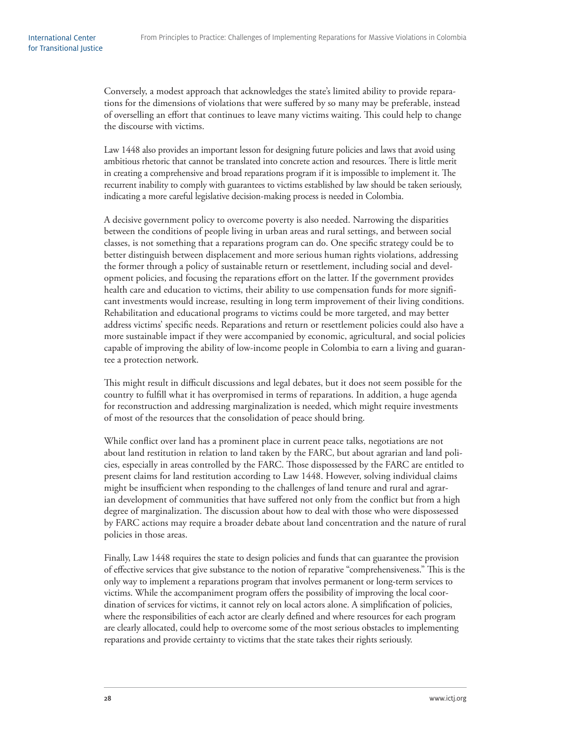Conversely, a modest approach that acknowledges the state's limited ability to provide reparations for the dimensions of violations that were suffered by so many may be preferable, instead of overselling an effort that continues to leave many victims waiting. This could help to change the discourse with victims.

Law 1448 also provides an important lesson for designing future policies and laws that avoid using ambitious rhetoric that cannot be translated into concrete action and resources. There is little merit in creating a comprehensive and broad reparations program if it is impossible to implement it. The recurrent inability to comply with guarantees to victims established by law should be taken seriously, indicating a more careful legislative decision-making process is needed in Colombia.

A decisive government policy to overcome poverty is also needed. Narrowing the disparities between the conditions of people living in urban areas and rural settings, and between social classes, is not something that a reparations program can do. One specific strategy could be to better distinguish between displacement and more serious human rights violations, addressing the former through a policy of sustainable return or resettlement, including social and development policies, and focusing the reparations effort on the latter. If the government provides health care and education to victims, their ability to use compensation funds for more significant investments would increase, resulting in long term improvement of their living conditions. Rehabilitation and educational programs to victims could be more targeted, and may better address victims' specific needs. Reparations and return or resettlement policies could also have a more sustainable impact if they were accompanied by economic, agricultural, and social policies capable of improving the ability of low-income people in Colombia to earn a living and guarantee a protection network.

This might result in difficult discussions and legal debates, but it does not seem possible for the country to fulfill what it has overpromised in terms of reparations. In addition, a huge agenda for reconstruction and addressing marginalization is needed, which might require investments of most of the resources that the consolidation of peace should bring.

While conflict over land has a prominent place in current peace talks, negotiations are not about land restitution in relation to land taken by the FARC, but about agrarian and land policies, especially in areas controlled by the FARC. Th ose dispossessed by the FARC are entitled to present claims for land restitution according to Law 1448. However, solving individual claims might be insufficient when responding to the challenges of land tenure and rural and agrarian development of communities that have suffered not only from the conflict but from a high degree of marginalization. The discussion about how to deal with those who were dispossessed by FARC actions may require a broader debate about land concentration and the nature of rural policies in those areas.

Finally, Law 1448 requires the state to design policies and funds that can guarantee the provision of effective services that give substance to the notion of reparative "comprehensiveness." This is the only way to implement a reparations program that involves permanent or long-term services to victims. While the accompaniment program offers the possibility of improving the local coordination of services for victims, it cannot rely on local actors alone. A simplification of policies, where the responsibilities of each actor are clearly defined and where resources for each program are clearly allocated, could help to overcome some of the most serious obstacles to implementing reparations and provide certainty to victims that the state takes their rights seriously.